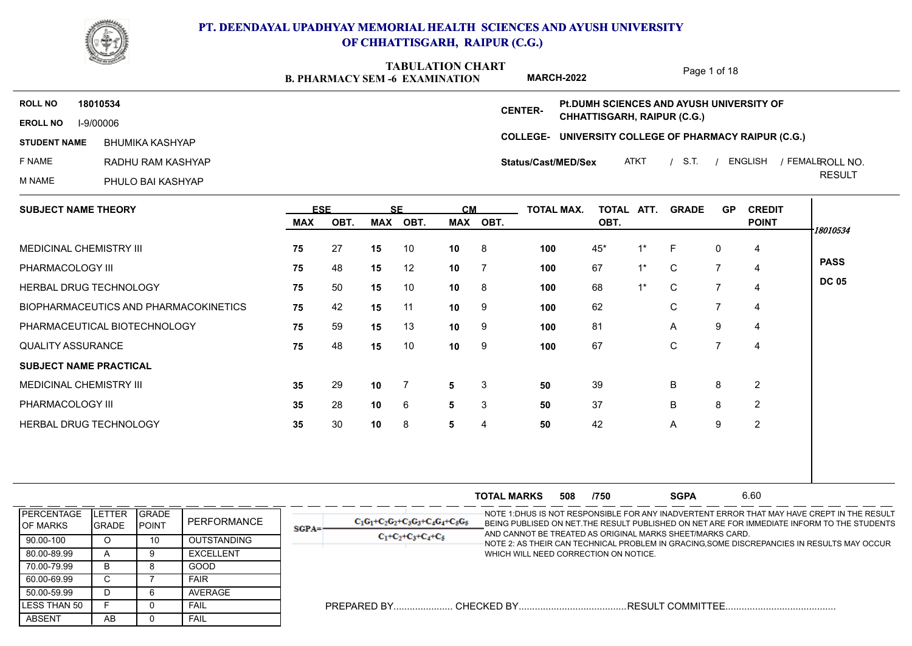

**B. PHARMACY SEM -6 EXAMINATION TABULATION CHART**

Page 1 of 18

**MARCH-2022 Pt.DUMH SCIENCES AND AYUSH UNIVERSITY OF ROLL NO 18010534 CENTER-CHHATTISGARH, RAIPUR (C.G.) EROLL NO** I-9/00006 **COLLEGE-UNIVERSITY COLLEGE OF PHARMACY RAIPUR (C.G.) STUDENT NAME** ROLL NO. BHUMIKA KASHYAP **Status/Cast/MED/Sex** F NAME RADHU RAM KASHYAP ATKT / S.T. / ENGLISH / FEMALEROLL NO. RESULT M NAME PHULO BAI KASHYAP  $\sim$ 

| <b>SUBJECT NAME THEORY</b>            | <b>ESE</b> |      |     | <b>SE</b>      | <b>CM</b>       |          | <b>TOTAL MAX.</b> | TOTAL ATT. |       | <b>GRADE</b> | <b>GP</b>                | <b>CREDIT</b>  |              |
|---------------------------------------|------------|------|-----|----------------|-----------------|----------|-------------------|------------|-------|--------------|--------------------------|----------------|--------------|
|                                       | MAX        | OBT. | MAX | OBT.           |                 | MAX OBT. |                   | OBT.       |       |              |                          | <b>POINT</b>   | 18010534     |
| MEDICINAL CHEMISTRY III               | 75         | 27   | 15  | 10             | 10 <sub>1</sub> | - 8      | 100               | 45*        | 1*    | -F           | 0                        | 4              |              |
| PHARMACOLOGY III                      | 75         | 48   | 15  | 12             | 10 <sub>1</sub> |          | 100               | 67         | $1^*$ | $\mathsf{C}$ | $\overline{7}$           | $\overline{4}$ | <b>PASS</b>  |
| <b>HERBAL DRUG TECHNOLOGY</b>         | 75         | 50   | 15  | 10             | 10              | - 8      | 100               | 68         | $1^*$ | C            | $\overline{7}$           | 4              | <b>DC 05</b> |
| BIOPHARMACEUTICS AND PHARMACOKINETICS | 75         | 42   | 15  | 11             | 10              | - 9      | 100               | 62         |       | C            | 7                        | 4              |              |
| PHARMACEUTICAL BIOTECHNOLOGY          | 75         | 59   | 15  | 13             | 10              | - 9      | 100               | 81         |       | $\mathsf{A}$ | 9                        | 4              |              |
| <b>QUALITY ASSURANCE</b>              | 75         | 48   | 15  | 10             | 10              | - 9      | 100               | 67         |       | C            | $\overline{\phantom{a}}$ | 4              |              |
| <b>SUBJECT NAME PRACTICAL</b>         |            |      |     |                |                 |          |                   |            |       |              |                          |                |              |
| <b>MEDICINAL CHEMISTRY III</b>        | 35         | 29   | 10  | $\overline{7}$ | 5               | 3        | 50                | 39         |       | B            | 8                        | $\overline{2}$ |              |
| PHARMACOLOGY III                      | 35         | 28   | 10  | 6              | 5               | 3        | 50                | 37         |       | B            | 8                        | 2              |              |
| HERBAL DRUG TECHNOLOGY                | 35         | 30   | 10  | 8              | 5               | 4        | 50                | 42         |       | A            | 9                        | $\overline{2}$ |              |
|                                       |            |      |     |                |                 |          |                   |            |       |              |                          |                |              |
|                                       |            |      |     |                |                 |          |                   |            |       |              |                          |                |              |

|                                        |                                 |               |                    |         |                                      | <b>TOTAL MARKS</b>                    | 508 | /750 | <b>SGPA</b>                                               | 6.60 |                                                                                                                                                                                           |
|----------------------------------------|---------------------------------|---------------|--------------------|---------|--------------------------------------|---------------------------------------|-----|------|-----------------------------------------------------------|------|-------------------------------------------------------------------------------------------------------------------------------------------------------------------------------------------|
| <b>IPERCENTAGE</b><br><b>IOF MARKS</b> | <b>ILETTER IGRADE</b><br>IGRADE | <b>IPOINT</b> | PERFORMANCE        | $SGPA=$ | $C_1G_1+C_2G_2+C_3G_3+C_4G_4+C_5G_5$ |                                       |     |      | AND CANNOT BE TREATED AS ORIGINAL MARKS SHEET/MARKS CARD. |      | -NOTE 1:DHUS IS NOT RESPONSIBLE FOR ANY INADVERTENT ERROR THAT MAY HAVE CREPT IN THE RESULT<br>BEING PUBLISED ON NET THE RESULT PUBLISHED ON NET ARE FOR IMMEDIATE INFORM TO THE STUDENTS |
| 90.00-100                              | Ő                               |               | <b>OUTSTANDING</b> |         | $C_1+C_2+C_3+C_4+C_5$                |                                       |     |      |                                                           |      | NOTE 2: AS THEIR CAN TECHNICAL PROBLEM IN GRACING,SOME DISCREPANCIES IN RESULTS MAY OCCUR                                                                                                 |
| 80.00-89.99                            |                                 |               | <b>EXCELLENT</b>   |         |                                      | WHICH WILL NEED CORRECTION ON NOTICE. |     |      |                                                           |      |                                                                                                                                                                                           |
| 70.00-79.99                            |                                 |               | GOOD               |         |                                      |                                       |     |      |                                                           |      |                                                                                                                                                                                           |
| 60.00-69.99                            |                                 |               | <b>FAIR</b>        |         |                                      |                                       |     |      |                                                           |      |                                                                                                                                                                                           |
| 50.00-59.99                            |                                 |               | AVERAGE            |         |                                      |                                       |     |      |                                                           |      |                                                                                                                                                                                           |
| <b>ILESS THAN 50</b>                   |                                 |               | FAIL               |         |                                      |                                       |     |      |                                                           |      |                                                                                                                                                                                           |
| <b>ABSENT</b>                          | AB                              |               | FAIL               |         |                                      |                                       |     |      |                                                           |      |                                                                                                                                                                                           |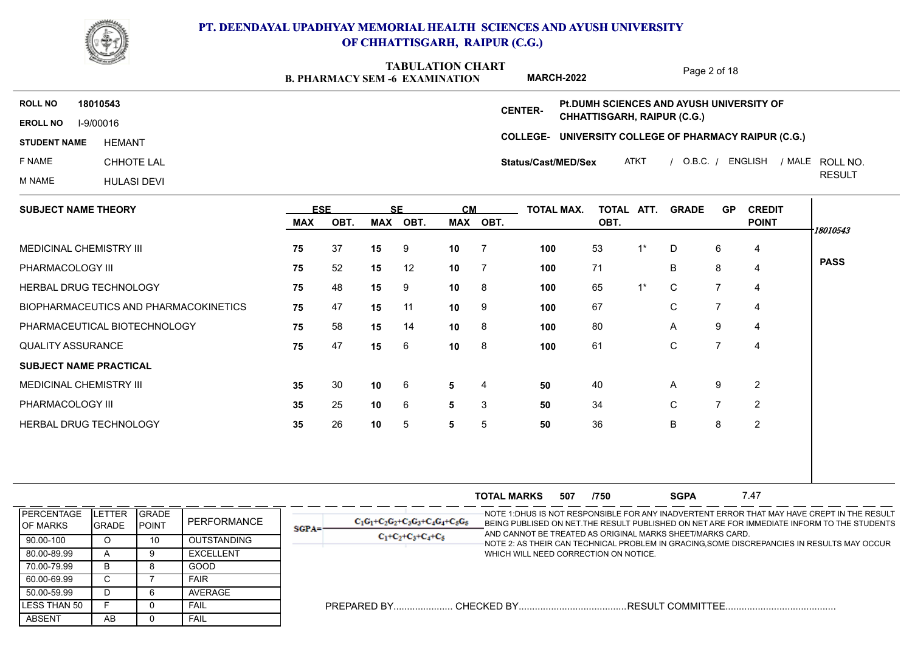

**B. PHARMACY SEM -6 EXAMINATION TABULATION CHART**

Page 2 of 18

|                     |                    | <b>B. PHARMACY SEM -6 EXAMINATION</b> |                     | <b>MARCH-2022</b>                                     |             | Faye Z UI TO |         |                 |
|---------------------|--------------------|---------------------------------------|---------------------|-------------------------------------------------------|-------------|--------------|---------|-----------------|
| <b>ROLL NO</b>      | 18010543           |                                       | <b>CENTER-</b>      | <b>PLDUMH SCIENCES AND AYUSH UNIVERSITY OF</b>        |             |              |         |                 |
| <b>EROLL NO</b>     | I-9/00016          |                                       |                     | <b>CHHATTISGARH, RAIPUR (C.G.)</b>                    |             |              |         |                 |
| <b>STUDENT NAME</b> | HEMANT             |                                       |                     | COLLEGE- UNIVERSITY COLLEGE OF PHARMACY RAIPUR (C.G.) |             |              |         |                 |
| F NAME              | CHHOTE LAL         |                                       | Status/Cast/MED/Sex |                                                       | <b>ATKT</b> | $O.B.C.$ /   | ENGLISH | / MALE ROLL NO. |
| M NAME              | <b>HULASI DEVI</b> |                                       |                     |                                                       |             |              |         | <b>RESULT</b>   |
|                     |                    |                                       |                     |                                                       |             |              |         |                 |

| <b>SUBJECT NAME THEORY</b>            | <b>ESE</b> |      | <b>SE</b> |      | <b>CM</b>       |                | <b>TOTAL MAX.</b> | <b>TOTAL</b> | ATT.  | <b>GRADE</b> | <b>GP</b> | <b>CREDIT</b>  |             |
|---------------------------------------|------------|------|-----------|------|-----------------|----------------|-------------------|--------------|-------|--------------|-----------|----------------|-------------|
|                                       | MAX        | OBT. | MAX       | OBT. |                 | MAX OBT.       |                   | OBT.         |       |              |           | <b>POINT</b>   | 18010543    |
| MEDICINAL CHEMISTRY III               | 75         | 37   | 15        | 9    | 10              | $\overline{7}$ | 100               | 53           | $1^*$ | D            | 6         | 4              |             |
| PHARMACOLOGY III                      | 75         | 52   | 15        | 12   | 10 <sup>1</sup> | $\overline{7}$ | 100               | 71           |       | B            | 8         | $\overline{4}$ | <b>PASS</b> |
| <b>HERBAL DRUG TECHNOLOGY</b>         | 75         | 48   | 15        | 9    | 10              | 8              | 100               | 65           | $1^*$ | $\mathbf C$  |           | 4              |             |
| BIOPHARMACEUTICS AND PHARMACOKINETICS | 75         | 47   | 15        | 11   | 10              | - 9            | 100               | 67           |       | C            |           | 4              |             |
| PHARMACEUTICAL BIOTECHNOLOGY          | 75         | 58   | 15        | 14   | 10 <sup>1</sup> | 8              | 100               | 80           |       | $\mathsf{A}$ | 9         | 4              |             |
| <b>QUALITY ASSURANCE</b>              | 75         | 47   | 15        | 6    | 10 <sup>1</sup> | - 8            | 100               | 61           |       | C            |           | 4              |             |
| <b>SUBJECT NAME PRACTICAL</b>         |            |      |           |      |                 |                |                   |              |       |              |           |                |             |
| MEDICINAL CHEMISTRY III               | 35         | 30   | 10        | 6    | 5               | 4              | 50                | 40           |       | $\mathsf{A}$ | 9         | 2              |             |
| PHARMACOLOGY III                      | 35         | 25   | 10        | 6    | 5               | 3              | 50                | 34           |       | C            |           | 2              |             |
| HERBAL DRUG TECHNOLOGY                | 35         | 26   | 10        | 5    | 5               | 5              | 50                | 36           |       | B            | 8         | 2              |             |
|                                       |            |      |           |      |                 |                |                   |              |       |              |           |                |             |

|                                        |                         |                                |                    |          |                                      | <b>TOTAL MARKS</b>                    | 507 | /750 | <b>SGPA</b>                                               | 7.47 |                                                                                                                                                                                            |
|----------------------------------------|-------------------------|--------------------------------|--------------------|----------|--------------------------------------|---------------------------------------|-----|------|-----------------------------------------------------------|------|--------------------------------------------------------------------------------------------------------------------------------------------------------------------------------------------|
| <b>IPERCENTAGE</b><br><b>IOF MARKS</b> | LETTER<br><b>IGRADE</b> | <b>IGRADE</b><br><b>IPOINT</b> | PERFORMANCE        | $SGPA =$ | $C_1G_1+C_2G_2+C_3G_3+C_4G_4+C_5G_5$ |                                       |     |      | AND CANNOT BE TREATED AS ORIGINAL MARKS SHEET/MARKS CARD. |      | -NOTE 1:DHUS IS NOT RESPONSIBLE FOR ANY INADVERTENT ERROR THAT MAY HAVE CREPT IN THE RESULT<br>BEING PUBLISED ON NET. THE RESULT PUBLISHED ON NET ARE FOR IMMEDIATE INFORM TO THE STUDENTS |
| 90.00-100                              |                         | 10                             | <b>OUTSTANDING</b> |          | $C_1+C_2+C_3+C_4+C_5$                |                                       |     |      |                                                           |      | NOTE 2: AS THEIR CAN TECHNICAL PROBLEM IN GRACING,SOME DISCREPANCIES IN RESULTS MAY OCCUR                                                                                                  |
| 80.00-89.99                            |                         |                                | <b>EXCELLENT</b>   |          |                                      | WHICH WILL NEED CORRECTION ON NOTICE. |     |      |                                                           |      |                                                                                                                                                                                            |
| 70.00-79.99                            |                         |                                | GOOD               |          |                                      |                                       |     |      |                                                           |      |                                                                                                                                                                                            |
| 60.00-69.99                            |                         |                                | <b>FAIR</b>        |          |                                      |                                       |     |      |                                                           |      |                                                                                                                                                                                            |
| 50.00-59.99                            |                         |                                | AVERAGE            |          |                                      |                                       |     |      |                                                           |      |                                                                                                                                                                                            |
| LESS THAN 50                           |                         |                                | <b>FAIL</b>        |          |                                      |                                       |     |      | .RESULT COMMITTEE                                         |      |                                                                                                                                                                                            |
| ABSENT                                 | AB                      |                                | FAIL               |          |                                      |                                       |     |      |                                                           |      |                                                                                                                                                                                            |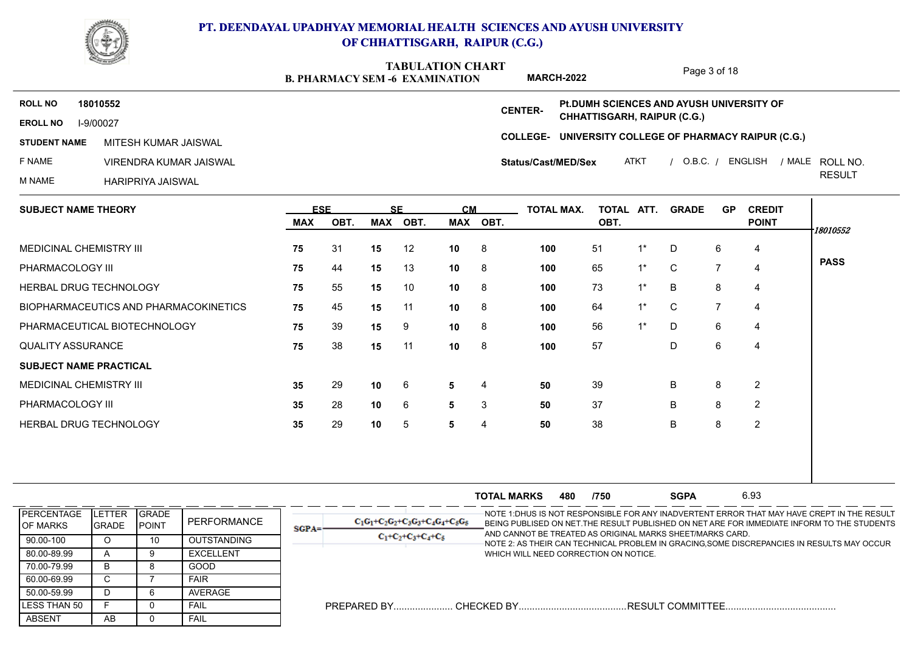

**B. PHARMACY SEM -6 EXAMINATION TABULATION CHART MARCH-2022**

Page 3 of 18

RESULT

**EROLL NO** I-9/00027 **ROLL NO 18010552 STUDENT NAME MITESH KUMAR JAISWAL** F NAME VIRENDRA KUMAR JAISWAL ROLL NO. MITESH KUMAR JAISWAL

**COLLEGE-UNIVERSITY COLLEGE OF PHARMACY RAIPUR (C.G.) CENTER-**ATKT / O.B.C. / ENGLISH / MALE ROLL NO. **Status/Cast/MED/Sex Pt.DUMH SCIENCES AND AYUSH UNIVERSITY OF CHHATTISGARH, RAIPUR (C.G.)**

M NAME HARIPRIYA JAISWAL

| <b>SUBJECT NAME THEORY</b>            | <b>ESE</b> |      |     | <b>SE</b> | <b>CM</b>       |          | <b>TOTAL MAX.</b> | TOTAL ATT. |       | <b>GRADE</b> | <b>GP</b> | <b>CREDIT</b>  |             |
|---------------------------------------|------------|------|-----|-----------|-----------------|----------|-------------------|------------|-------|--------------|-----------|----------------|-------------|
|                                       | MAX        | OBT. | MAX | OBT.      |                 | MAX OBT. |                   | OBT.       |       |              |           | <b>POINT</b>   | 18010552    |
| MEDICINAL CHEMISTRY III               | 75         | 31   | 15  | 12        | 10              | 8        | 100               | 51         | $1^*$ | D            | 6         | $\overline{4}$ |             |
| PHARMACOLOGY III                      | 75         | 44   | 15  | 13        | 10 <sup>°</sup> | 8        | 100               | 65         | $1^*$ | $\mathbf C$  | 7         | $\overline{4}$ | <b>PASS</b> |
| HERBAL DRUG TECHNOLOGY                | 75         | 55   | 15  | 10        | 10              | - 8      | 100               | 73         | $1^*$ | B            | 8         | $\overline{a}$ |             |
| BIOPHARMACEUTICS AND PHARMACOKINETICS | 75         | 45   | 15  | 11        | 10              | - 8      | 100               | 64         | $1^*$ | $\mathbf C$  | 7         | 4              |             |
| PHARMACEUTICAL BIOTECHNOLOGY          | 75         | 39   | 15  | 9         | 10 <sup>°</sup> | -8       | 100               | 56         | $1^*$ | D            | 6         | 4              |             |
| <b>QUALITY ASSURANCE</b>              | 75         | 38   | 15  | 11        | 10 <sup>1</sup> | 8        | 100               | 57         |       | D            | 6         | $\overline{4}$ |             |
| <b>SUBJECT NAME PRACTICAL</b>         |            |      |     |           |                 |          |                   |            |       |              |           |                |             |
| MEDICINAL CHEMISTRY III               | 35         | 29   | 10  | 6         | 5               | 4        | 50                | 39         |       | B            | 8         | 2              |             |
| PHARMACOLOGY III                      | 35         | 28   | 10  | 6         | 5               | 3        | 50                | 37         |       | B            | 8         | 2              |             |
| <b>HERBAL DRUG TECHNOLOGY</b>         | 35         | 29   | 10  | 5         | 5               | 4        | 50                | 38         |       | B            | 8         | $\overline{2}$ |             |
|                                       |            |      |     |           |                 |          |                   |            |       |              |           |                |             |

|                                |                              |                                 |                    |             |                                      | <b>TOTAL MARKS</b>                    | 480 | /750 | <b>SGPA</b>                                               | 6.93 |                                                                                                                                                                                            |
|--------------------------------|------------------------------|---------------------------------|--------------------|-------------|--------------------------------------|---------------------------------------|-----|------|-----------------------------------------------------------|------|--------------------------------------------------------------------------------------------------------------------------------------------------------------------------------------------|
| PERCENTAGE<br><b>IOF MARKS</b> | TER<br>ILET<br><b>IGRADE</b> | <b>IGRADE</b><br><b>I</b> POINT | PERFORMANCE        | <b>SGPA</b> | $C_1C_1+C_2C_2+C_3C_3+C_4C_4+C_5C_5$ |                                       |     |      | AND CANNOT BE TREATED AS ORIGINAL MARKS SHEET/MARKS CARD. |      | -NOTE 1:DHUS IS NOT RESPONSIBLE FOR ANY INADVERTENT ERROR THAT MAY HAVE CREPT IN THE RESULT<br>BEING PUBLISED ON NET. THE RESULT PUBLISHED ON NET ARE FOR IMMEDIATE INFORM TO THE STUDENTS |
| 90.00-100                      |                              |                                 | <b>OUTSTANDING</b> |             | $C_1+C_2+C_3+C_4+C_5$                |                                       |     |      |                                                           |      | NOTE 2: AS THEIR CAN TECHNICAL PROBLEM IN GRACING,SOME DISCREPANCIES IN RESULTS MAY OCCUR                                                                                                  |
| 80.00-89.99                    |                              |                                 | <b>EXCELLENT</b>   |             |                                      | WHICH WILL NEED CORRECTION ON NOTICE. |     |      |                                                           |      |                                                                                                                                                                                            |
| 70.00-79.99                    |                              |                                 | GOOD               |             |                                      |                                       |     |      |                                                           |      |                                                                                                                                                                                            |
| 60.00-69.99                    |                              |                                 | <b>FAIR</b>        |             |                                      |                                       |     |      |                                                           |      |                                                                                                                                                                                            |
| 50.00-59.99                    |                              |                                 | AVERAGE            |             |                                      |                                       |     |      |                                                           |      |                                                                                                                                                                                            |
| <b>ILESS THAN 50</b>           |                              |                                 | FAIL               |             |                                      |                                       |     |      |                                                           |      |                                                                                                                                                                                            |
| <b>ABSENT</b>                  | AB                           |                                 | FAIL               |             |                                      |                                       |     |      |                                                           |      |                                                                                                                                                                                            |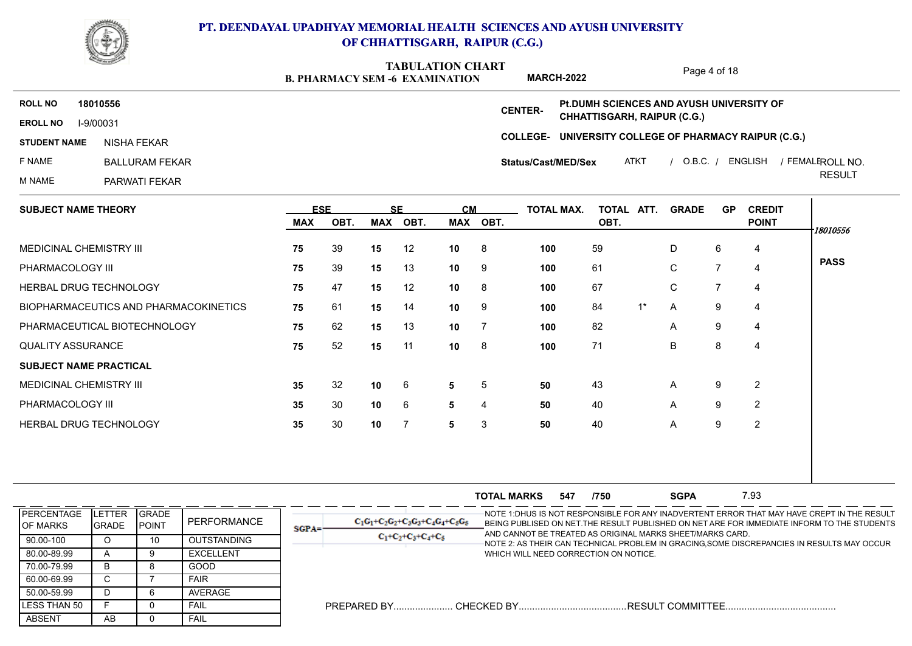

**B. PHARMACY SEM -6 EXAMINATION TABULATION CHART MARCH-2022**

Page 4 of 18

**COLLEGE-UNIVERSITY COLLEGE OF PHARMACY RAIPUR (C.G.) EROLL NO** I-9/00031 **ROLL NO 18010556 CENTER-STUDENT NAME** F NAME BALLURAM FEKAR M NAME PARWATI FEKAR ATKT / O.B.C. / ENGLISH / FEMALEROLL NO. RESULT ROLL NO. NISHA FEKAR **Status/Cast/MED/Sex Pt.DUMH SCIENCES AND AYUSH UNIVERSITY OF CHHATTISGARH, RAIPUR (C.G.)**

| <b>SUBJECT NAME THEORY</b>            | <b>ESE</b> |      | <b>SE</b> |      | <b>CM</b>       |                | <b>TOTAL MAX.</b> | TOTAL ATT. |       | <b>GRADE</b> | <b>GP</b> | <b>CREDIT</b>  |             |
|---------------------------------------|------------|------|-----------|------|-----------------|----------------|-------------------|------------|-------|--------------|-----------|----------------|-------------|
|                                       | <b>MAX</b> | OBT. | MAX       | OBT. | MAX             | OBT.           |                   | OBT.       |       |              |           | <b>POINT</b>   | 18010556    |
| <b>MEDICINAL CHEMISTRY III</b>        | 75         | 39   | 15        | 12   | 10              | $_{\rm 8}$     | 100               | 59         |       | D            | 6         | 4              |             |
| PHARMACOLOGY III                      | 75         | 39   | 15        | 13   | 10              | - 9            | 100               | 61         |       | C            |           | 4              | <b>PASS</b> |
| HERBAL DRUG TECHNOLOGY                | 75         | 47   | 15        | 12   | 10              | $_{\rm 8}$     | 100               | 67         |       | $\mathsf{C}$ |           | 4              |             |
| BIOPHARMACEUTICS AND PHARMACOKINETICS | 75         | 61   | 15        | 14   | 10 <sub>1</sub> | - 9            | 100               | 84         | $1^*$ | A            | 9         | 4              |             |
| PHARMACEUTICAL BIOTECHNOLOGY          | 75         | 62   | 15        | 13   | 10              | $\overline{7}$ | 100               | 82         |       | $\mathsf{A}$ | 9         | $\overline{4}$ |             |
| <b>QUALITY ASSURANCE</b>              | 75         | 52   | 15        | 11   | 10              | - 8            | 100               | 71         |       | B            | 8         | 4              |             |
| <b>SUBJECT NAME PRACTICAL</b>         |            |      |           |      |                 |                |                   |            |       |              |           |                |             |
| MEDICINAL CHEMISTRY III               | 35         | 32   | 10        | 6    | 5               | -5             | 50                | 43         |       | $\mathsf{A}$ | 9         | 2              |             |
| PHARMACOLOGY III                      | 35         | 30   | 10        | 6    | 5               | 4              | 50                | 40         |       | $\mathsf{A}$ | 9         | $\overline{2}$ |             |
| HERBAL DRUG TECHNOLOGY                | 35         | 30   | 10        | -7   | 5               | 3              | 50                | 40         |       | $\mathsf{A}$ | 9         | 2              |             |
|                                       |            |      |           |      |                 |                |                   |            |       |              |           |                |             |

|                                        |                              |                                 |                    |         |                                      | <b>TOTAL MARKS</b>                    | 547 | /750 | <b>SGPA</b>                                               | 7.93 |                                                                                                                                                                                            |
|----------------------------------------|------------------------------|---------------------------------|--------------------|---------|--------------------------------------|---------------------------------------|-----|------|-----------------------------------------------------------|------|--------------------------------------------------------------------------------------------------------------------------------------------------------------------------------------------|
| <b>IPERCENTAGE</b><br><b>IOF MARKS</b> | TER<br>ILEI<br><b>IGRADE</b> | <b>IGRADE</b><br><b>I</b> POINT | PERFORMANCE        | $SGPA=$ | $C_1G_1+C_2G_2+C_3G_3+C_4G_4+C_5G_5$ |                                       |     |      | AND CANNOT BE TREATED AS ORIGINAL MARKS SHEET/MARKS CARD. |      | -NOTE 1:DHUS IS NOT RESPONSIBLE FOR ANY INADVERTENT ERROR THAT MAY HAVE CREPT IN THE RESULT<br>BEING PUBLISED ON NET. THE RESULT PUBLISHED ON NET ARE FOR IMMEDIATE INFORM TO THE STUDENTS |
| 90.00-100                              |                              |                                 | <b>OUTSTANDING</b> |         | $C_1+C_2+C_3+C_4+C_5$                |                                       |     |      |                                                           |      | NOTE 2: AS THEIR CAN TECHNICAL PROBLEM IN GRACING,SOME DISCREPANCIES IN RESULTS MAY OCCUR                                                                                                  |
| 80.00-89.99                            |                              |                                 | <b>EXCELLENT</b>   |         |                                      | WHICH WILL NEED CORRECTION ON NOTICE. |     |      |                                                           |      |                                                                                                                                                                                            |
| 70.00-79.99                            |                              |                                 | GOOD               |         |                                      |                                       |     |      |                                                           |      |                                                                                                                                                                                            |
| 60.00-69.99                            |                              |                                 | FAIR               |         |                                      |                                       |     |      |                                                           |      |                                                                                                                                                                                            |
| 50.00-59.99                            |                              |                                 | AVERAGE            |         |                                      |                                       |     |      |                                                           |      |                                                                                                                                                                                            |
| <b>ILESS THAN 50</b>                   |                              |                                 | FAII               |         |                                      |                                       |     |      |                                                           |      |                                                                                                                                                                                            |
| <b>ABSENT</b>                          | AB                           |                                 | FAIL               |         |                                      |                                       |     |      |                                                           |      |                                                                                                                                                                                            |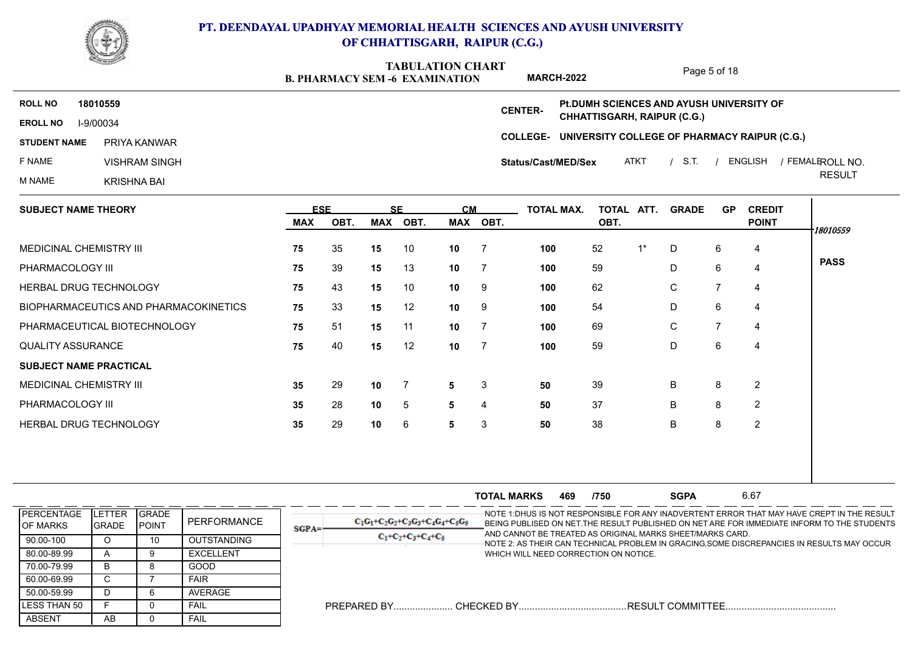

**B. PHARMACY SEM -6 EXAMINATION TABULATION CHART MARCH-2022**

Page 5 of 18

**COLLEGE-UNIVERSITY COLLEGE OF PHARMACY RAIPUR (C.G.) EROLL NO** I-9/00034 **ROLL NO 18010559 CENTER-STUDENT NAME** F NAME VISHRAM SINGH M NAME KRISHNA BAI ATKT / S.T. / ENGLISH / FEMALEROLL NO. RESULT ROLL NO. PRIYA KANWAR **Status/Cast/MED/Sex Pt.DUMH SCIENCES AND AYUSH UNIVERSITY OF CHHATTISGARH, RAIPUR (C.G.)**

| <b>SUBJECT NAME THEORY</b>            | <b>ESE</b>       |      | <b>SE</b> |      | <b>CM</b>       |                | TOTAL MAX. | TOTAL ATT. |       | <b>GRADE</b> | <b>GP</b> | <b>CREDIT</b>  |             |
|---------------------------------------|------------------|------|-----------|------|-----------------|----------------|------------|------------|-------|--------------|-----------|----------------|-------------|
|                                       | MAX              | OBT. | MAX       | OBT. |                 | MAX OBT.       |            | OBT.       |       |              |           | <b>POINT</b>   | 18010559    |
| MEDICINAL CHEMISTRY III               | 75               | 35   | 15        | 10   | 10 <sup>°</sup> | $\overline{7}$ | 100        | 52         | $1^*$ | D            | 6         | 4              |             |
| PHARMACOLOGY III                      | 75               | 39   | 15        | 13   | 10              | $\overline{7}$ | 100        | 59         |       | D            | 6         | 4              | <b>PASS</b> |
| HERBAL DRUG TECHNOLOGY                | 75               | 43   | 15        | 10   | 10 <sub>1</sub> | - 9            | 100        | 62         |       | C            | 7         | 4              |             |
| BIOPHARMACEUTICS AND PHARMACOKINETICS | 75               | 33   | 15        | 12   | 10              | - 9            | 100        | 54         |       | D            | 6         | 4              |             |
| PHARMACEUTICAL BIOTECHNOLOGY          | 75               | 51   | 15        | 11   | 10              | $\overline{7}$ | 100        | 69         |       | C            |           | 4              |             |
| <b>QUALITY ASSURANCE</b>              | 75               | 40   | 15        | 12   | 10 <sub>1</sub> | $\overline{7}$ | 100        | 59         |       | D            | 6         | 4              |             |
| <b>SUBJECT NAME PRACTICAL</b>         |                  |      |           |      |                 |                |            |            |       |              |           |                |             |
| MEDICINAL CHEMISTRY III               | 35               | 29   | 10        | -7   | 5               | 3              | 50         | 39         |       | B            | 8         | 2              |             |
| PHARMACOLOGY III                      | 35               | 28   | 10        | 5    | 5               | 4              | 50         | 37         |       | B            | 8         | $\overline{2}$ |             |
| <b>HERBAL DRUG TECHNOLOGY</b>         | $35\phantom{.0}$ | 29   | 10        | 6    | 5               | 3              | 50         | 38         |       | B            | 8         | $\overline{2}$ |             |
|                                       |                  |      |           |      |                 |                |            |            |       |              |           |                |             |
|                                       |                  |      |           |      |                 |                |            |            |       |              |           |                |             |

**TOTAL MARKS 469 /750 SGPA 6.67 SGPA 469 /750 SGPA** 6.67 NOTE 1:DHUS IS NOT RESPONSIBLE FOR ANY INADVERTENT ERROR THAT MAY HAVE CREPT IN THE RESULT BEING PUBLISED ON NET.THE RESULT PUBLISHED ON NET ARE FOR IMMEDIATE INFORM TO THE STUDENTS AND CANNOT BE TREATED AS ORIGINAL MARKS SHEET/MARKS CARD. NOTE 2: AS THEIR CAN TECHNICAL PROBLEM IN GRACING,SOME DISCREPANCIES IN RESULTS MAY OCCUR WHICH WILL NEED CORRECTION ON NOTICE. PREPARED BY...................... CHECKED BY........................................RESULT COMMITTEE......................................... ABSENT | AB | 0 LESS THAN 50 F O 50.00-59.99 | D | 6 60.00-69.99 C 7 70.00-79.99 | B | 8 80.00-89.99 | A | 9 90.00-100 | O | 10 **PERCENTAGE** OF MARKS **GRADE** POINT LETTER GRADE GRADE GRADE PERFORMANCE  $\begin{array}{|c|c|c|c|c|c|c|c|c|}\hline \text{GRADE} & & \text{C}_1\text{G}_1+\text{C}_2 \\\hline \end{array}$ O 10 OUTSTANDING A 9 EXCELLENT B 8 GOOD C | 7 | FAIR | | D 6 AVERAGE F 0 FAIL AB 0 FAIL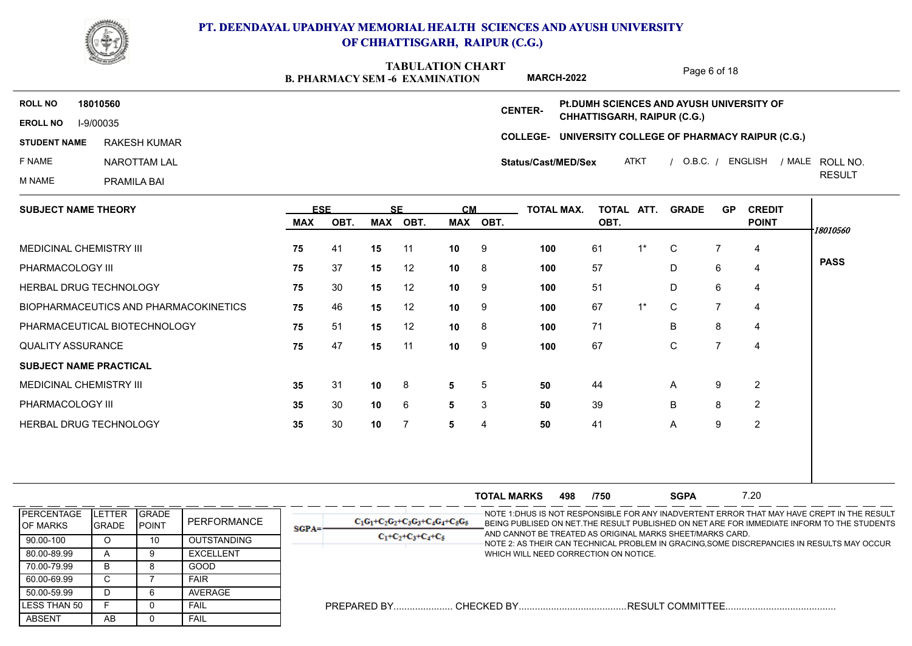

**B. PHARMACY SEM -6 EXAMINATION TABULATION CHART MARCH-2022**

Page 6 of 18

**COLLEGE-UNIVERSITY COLLEGE OF PHARMACY RAIPUR (C.G.) EROLL NO** I-9/00035 **ROLL NO 18010560 CENTER-STUDENT NAME** F NAME NAROTTAM LAL M NAME PRAMILA BAI ATKT / O.B.C. / ENGLISH / MALE ROLL NO. RESULT ROLL NO. RAKESH KUMAR **Status/Cast/MED/Sex Pt.DUMH SCIENCES AND AYUSH UNIVERSITY OF CHHATTISGARH, RAIPUR (C.G.)**

| <b>SUBJECT NAME THEORY</b>            | <b>ESE</b> |      |            | <b>SE</b> | <b>CM</b>       |      | <b>TOTAL MAX.</b> | TOTAL ATT. |       | <b>GRADE</b> | <b>GP</b> | <b>CREDIT</b>  |             |
|---------------------------------------|------------|------|------------|-----------|-----------------|------|-------------------|------------|-------|--------------|-----------|----------------|-------------|
|                                       | MAX        | OBT. | <b>MAX</b> | OBT.      | MAX             | OBT. |                   | OBT.       |       |              |           | <b>POINT</b>   | 18010560    |
| <b>MEDICINAL CHEMISTRY III</b>        | 75         | 41   | 15         | 11        | 10 <sup>1</sup> | - 9  | 100               | 61         | $1^*$ | $\mathsf{C}$ |           | 4              |             |
| PHARMACOLOGY III                      | 75         | 37   | 15         | 12        | 10              | - 8  | 100               | 57         |       | D            | 6         | 4              | <b>PASS</b> |
| HERBAL DRUG TECHNOLOGY                | 75         | 30   | 15         | 12        | 10 <sup>1</sup> | - 9  | 100               | 51         |       | D            | 6         | $\overline{4}$ |             |
| BIOPHARMACEUTICS AND PHARMACOKINETICS | 75         | 46   | 15         | 12        | 10 <sup>1</sup> | - 9  | 100               | 67         | $1^*$ | $\mathsf{C}$ | 7         | 4              |             |
| PHARMACEUTICAL BIOTECHNOLOGY          | 75         | 51   | 15         | 12        | 10              | - 8  | 100               | 71         |       | B            | 8         | 4              |             |
| <b>QUALITY ASSURANCE</b>              | 75         | 47   | 15         | 11        | 10 <sub>1</sub> | - 9  | 100               | 67         |       | C            |           | 4              |             |
| <b>SUBJECT NAME PRACTICAL</b>         |            |      |            |           |                 |      |                   |            |       |              |           |                |             |
| MEDICINAL CHEMISTRY III               | 35         | 31   | 10         | 8         | 5               | 5    | 50                | 44         |       | $\mathsf{A}$ | 9         | 2              |             |
| PHARMACOLOGY III                      | 35         | 30   | 10         | 6         | $5^{\circ}$     | 3    | 50                | 39         |       | B            | 8         | $\overline{2}$ |             |
| HERBAL DRUG TECHNOLOGY                | 35         | 30   | 10         | -7        | 5               | 4    | 50                | 41         |       | A            | 9         | $\overline{2}$ |             |
|                                       |            |      |            |           |                 |      |                   |            |       |              |           |                |             |
|                                       |            |      |            |           |                 |      |                   |            |       |              |           |                |             |

**TOTAL MARKS 498 /750 SGPA 7.20 SGPA 498 7.20 SGPA 7.20** NOTE 1:DHUS IS NOT RESPONSIBLE FOR ANY INADVERTENT ERROR THAT MAY HAVE CREPT IN THE RESULT BEING PUBLISED ON NET.THE RESULT PUBLISHED ON NET ARE FOR IMMEDIATE INFORM TO THE STUDENTS AND CANNOT BE TREATED AS ORIGINAL MARKS SHEET/MARKS CARD. NOTE 2: AS THEIR CAN TECHNICAL PROBLEM IN GRACING,SOME DISCREPANCIES IN RESULTS MAY OCCUR WHICH WILL NEED CORRECTION ON NOTICE. PREPARED BY...................... CHECKED BY........................................RESULT COMMITTEE......................................... ABSENT | AB | 0 LESS THAN 50 F O 50.00-59.99 | D | 6 60.00-69.99 C 7 70.00-79.99 | B | 8 80.00-89.99 | A | 9 90.00-100 | 0 | 10 **PERCENTAGE** OF MARKS **GRADE** POINT LETTER GRADE GRADE GRADE PERFORMANCE  $\begin{array}{|c|c|c|c|c|c|c|c|c|}\hline \text{GRADE} & & \text{C}_1\text{G}_1+\text{C}_2 \\\hline \end{array}$ O 10 OUTSTANDING A 9 EXCELLENT B 8 GOOD C | 7 | FAIR | | D 6 AVERAGE F 0 FAIL AB 0 FAIL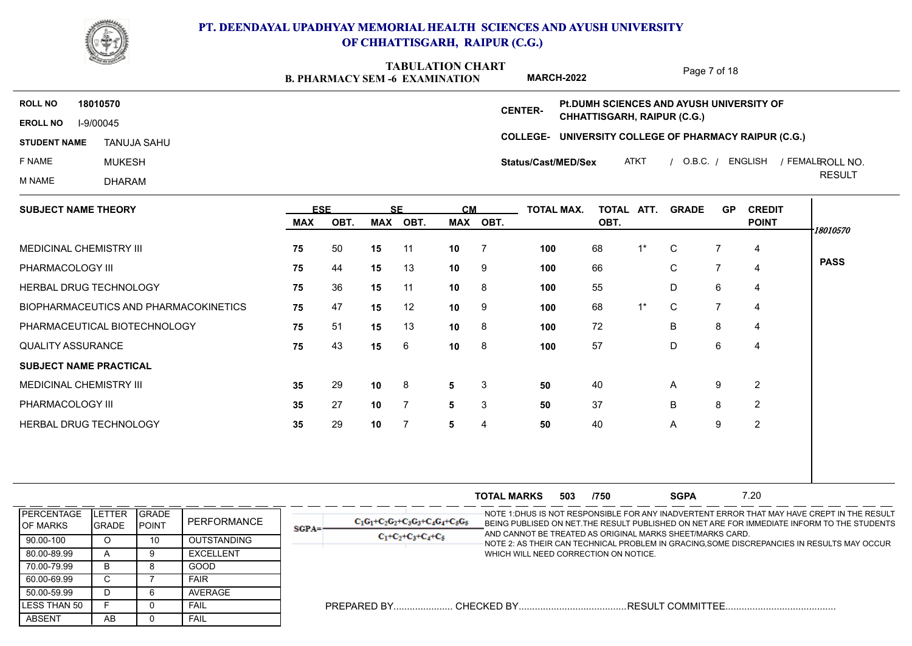

**B. PHARMACY SEM -6 EXAMINATION TABULATION CHART MARCH-2022**

Page 7 of 18

**COLLEGE-UNIVERSITY COLLEGE OF PHARMACY RAIPUR (C.G.) EROLL NO** I-9/00045 **ROLL NO 18010570 CENTER-STUDENT NAME** F NAME MUKESH M NAME DHARAM ATKT / O.B.C. / ENGLISH / FEMALEROLL NO. RESULT ROLL NO. TANUJA SAHU **Status/Cast/MED/Sex Pt.DUMH SCIENCES AND AYUSH UNIVERSITY OF CHHATTISGARH, RAIPUR (C.G.)**

| <b>SUBJECT NAME THEORY</b>            | <b>ESE</b> |      | <b>SE</b> |                | <b>CM</b>       |          | TOTAL MAX. | TOTAL ATT. |       | <b>GRADE</b> | <b>GP</b> | <b>CREDIT</b>  |             |
|---------------------------------------|------------|------|-----------|----------------|-----------------|----------|------------|------------|-------|--------------|-----------|----------------|-------------|
|                                       | <b>MAX</b> | OBT. | MAX       | OBT.           |                 | MAX OBT. |            | OBT.       |       |              |           | <b>POINT</b>   | 18010570    |
| MEDICINAL CHEMISTRY III               | 75         | 50   | 15        | -11            | 10              |          | 100        | 68         | $1^*$ | C            |           | 4              |             |
| PHARMACOLOGY III                      | 75         | 44   | 15        | 13             | 10              | -9       | 100        | 66         |       | $\mathsf{C}$ | 7         | 4              | <b>PASS</b> |
| HERBAL DRUG TECHNOLOGY                | 75         | 36   | 15        | 11             | 10              | - 8      | 100        | 55         |       | D            | 6         | 4              |             |
| BIOPHARMACEUTICS AND PHARMACOKINETICS | 75         | 47   | 15        | 12             | 10 <sup>°</sup> | -9       | 100        | 68         | $1^*$ | C.           | 7         | 4              |             |
| PHARMACEUTICAL BIOTECHNOLOGY          | 75         | 51   | 15        | 13             | 10              | - 8      | 100        | 72         |       | B            | 8         | 4              |             |
| <b>QUALITY ASSURANCE</b>              | 75         | 43   | 15        | 6              | 10              | -8       | 100        | 57         |       | D            | 6         | 4              |             |
| <b>SUBJECT NAME PRACTICAL</b>         |            |      |           |                |                 |          |            |            |       |              |           |                |             |
| MEDICINAL CHEMISTRY III               | 35         | 29   | 10        | 8              | 5               | 3        | 50         | 40         |       | $\mathsf{A}$ | 9         | $\overline{2}$ |             |
| PHARMACOLOGY III                      | 35         | 27   | 10        | $\overline{7}$ | 5               | 3        | 50         | 37         |       | B            | 8         | 2              |             |
| HERBAL DRUG TECHNOLOGY                | 35         | 29   | 10        | -7             | 5               | 4        | 50         | 40         |       | A            | 9         | $\overline{2}$ |             |
|                                       |            |      |           |                |                 |          |            |            |       |              |           |                |             |
|                                       |            |      |           |                |                 |          |            |            |       |              |           |                |             |

|                                      |                            |                                |                    |         |                                      | <b>TOTAL MARKS</b> | 503 | /750                                  | <b>SGPA</b>                                               | 7.20 |                                                                                                                                                                                            |
|--------------------------------------|----------------------------|--------------------------------|--------------------|---------|--------------------------------------|--------------------|-----|---------------------------------------|-----------------------------------------------------------|------|--------------------------------------------------------------------------------------------------------------------------------------------------------------------------------------------|
| <b>PERCENTAGE</b><br><b>OF MARKS</b> | TER<br>.ET<br><b>GRADE</b> | <b>IGRADE</b><br><b>IPOINT</b> | PERFORMANCE        | $SGPA=$ | $C_1C_1+C_2C_2+C_3C_3+C_4C_4+C_5C_5$ |                    |     |                                       | AND CANNOT BE TREATED AS ORIGINAL MARKS SHEET/MARKS CARD. |      | -NOTE 1:DHUS IS NOT RESPONSIBLE FOR ANY INADVERTENT ERROR THAT MAY HAVE CREPT IN THE RESULT<br>BEING PUBLISED ON NET. THE RESULT PUBLISHED ON NET ARE FOR IMMEDIATE INFORM TO THE STUDENTS |
| 90.00-100                            | U                          | 10                             | <b>OUTSTANDING</b> |         | $C_1+C_2+C_3+C_4+C_5$                |                    |     |                                       |                                                           |      | NOTE 2: AS THEIR CAN TECHNICAL PROBLEM IN GRACING,SOME DISCREPANCIES IN RESULTS MAY OCCUR                                                                                                  |
| 80.00-89.99                          |                            |                                | EXCELLENT          |         |                                      |                    |     | WHICH WILL NEED CORRECTION ON NOTICE. |                                                           |      |                                                                                                                                                                                            |
| 70.00-79.99                          | ה                          |                                | GOOD               |         |                                      |                    |     |                                       |                                                           |      |                                                                                                                                                                                            |
| 60.00-69.99                          | ◡                          |                                | <b>FAIR</b>        |         |                                      |                    |     |                                       |                                                           |      |                                                                                                                                                                                            |
| 50.00-59.99                          |                            |                                | AVERAGE            |         |                                      |                    |     |                                       |                                                           |      |                                                                                                                                                                                            |
| LESS THAN 50                         |                            |                                | <b>FAIL</b>        |         | <b>PREPARED BY</b>                   | . CHECKED BY       |     |                                       | .RESULT COMMITTEE.                                        |      |                                                                                                                                                                                            |
| ABSENT                               | AB                         |                                | FAIL               |         |                                      |                    |     |                                       |                                                           |      |                                                                                                                                                                                            |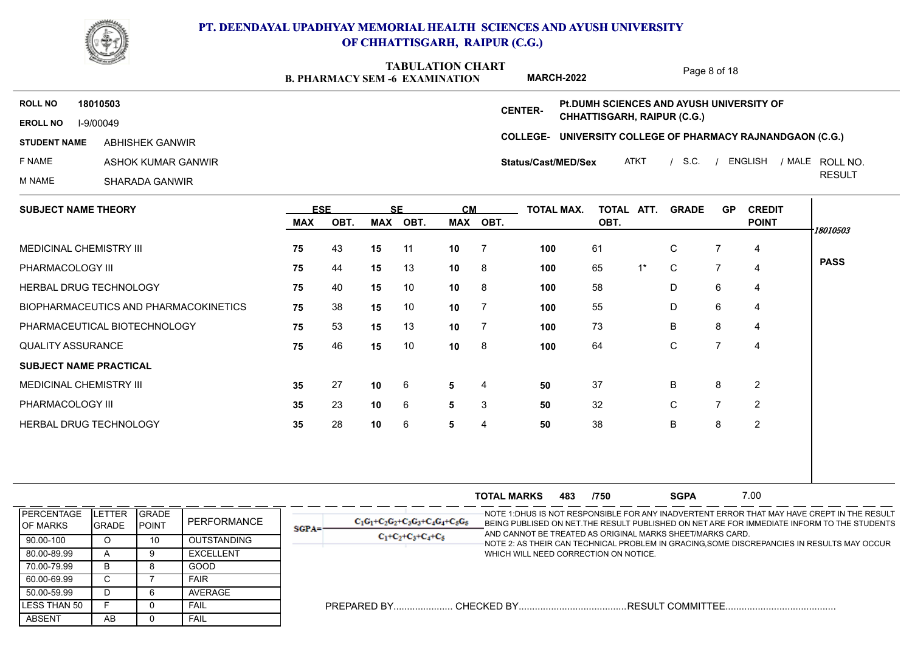

**B. PHARMACY SEM -6 EXAMINATION TABULATION CHART**

Page 8 of 18

**COLLEGE-UNIVERSITY COLLEGE OF PHARMACY RAJNANDGAON (C.G.) EROLL NO** I-9/00049 **ROLL NO 18010503 CENTER-STUDENT NAME ABHISHEK GANWIR** F NAME ASHOK KUMAR GANWIR M NAME SHARADA GANWIR / / / ATKT S.C. ENGLISH MALE RESULT ROLL NO. ABHISHEK GANWIR **Status/Cast/MED/Sex Pt.DUMH SCIENCES AND AYUSH UNIVERSITY OF CHHATTISGARH, RAIPUR (C.G.) MARCH-2022**

| <b>SUBJECT NAME THEORY</b>            | <b>ESE</b> |      | <b>SE</b> |      | <b>CM</b> |                | <b>TOTAL MAX.</b> | TOTAL ATT. |       | <b>GRADE</b> | <b>GP</b> | <b>CREDIT</b>  |             |
|---------------------------------------|------------|------|-----------|------|-----------|----------------|-------------------|------------|-------|--------------|-----------|----------------|-------------|
|                                       | MAX        | OBT. | MAX       | OBT. |           | MAX OBT.       |                   | OBT.       |       |              |           | <b>POINT</b>   | 18010503    |
| <b>MEDICINAL CHEMISTRY III</b>        | 75         | 43   | 15        | 11   | 10        | $\overline{7}$ | 100               | 61         |       | C            |           | 4              |             |
| PHARMACOLOGY III                      | 75         | 44   | 15        | 13   | 10        | 8 <sup>8</sup> | 100               | 65         | $1^*$ | C            | 7         | 4              | <b>PASS</b> |
| HERBAL DRUG TECHNOLOGY                | 75         | 40   | 15        | 10   | 10        | - 8            | 100               | 58         |       | D            | 6         | 4              |             |
| BIOPHARMACEUTICS AND PHARMACOKINETICS | 75         | 38   | 15        | 10   | 10        |                | 100               | 55         |       | D            | 6         | 4              |             |
| PHARMACEUTICAL BIOTECHNOLOGY          | 75         | 53   | 15        | 13   | 10        |                | 100               | 73         |       | B            | 8         | 4              |             |
| <b>QUALITY ASSURANCE</b>              | 75         | 46   | 15        | 10   | 10        | - 8            | 100               | 64         |       | $\mathsf{C}$ | 7         | $\overline{a}$ |             |
| <b>SUBJECT NAME PRACTICAL</b>         |            |      |           |      |           |                |                   |            |       |              |           |                |             |
| <b>MEDICINAL CHEMISTRY III</b>        | 35         | 27   | 10        | 6    | 5         | 4              | 50                | 37         |       | B            | 8         | $\overline{2}$ |             |
| PHARMACOLOGY III                      | 35         | 23   | 10        | 6    | 5         | 3              | 50                | 32         |       | C            |           | 2              |             |
| HERBAL DRUG TECHNOLOGY                | 35         | 28   | 10        | 6    | 5         | 4              | 50                | 38         |       | B            | 8         | $\overline{2}$ |             |
|                                       |            |      |           |      |           |                |                   |            |       |              |           |                |             |

|                                        |                         |                                |                    |          |                                      | <b>TOTAL MARKS</b>                    | 483 | /750 | <b>SGPA</b>                                               | 7.00 |                                                                                                                                                                                           |
|----------------------------------------|-------------------------|--------------------------------|--------------------|----------|--------------------------------------|---------------------------------------|-----|------|-----------------------------------------------------------|------|-------------------------------------------------------------------------------------------------------------------------------------------------------------------------------------------|
| <b>IPERCENTAGE</b><br><b>IOF MARKS</b> | LETTER<br><b>IGRADE</b> | <b>IGRADE</b><br><b>IPOINT</b> | PERFORMANCE        | $SGPA =$ | $C_1C_1+C_2C_2+C_3C_3+C_4C_4+C_5C_5$ |                                       |     |      | AND CANNOT BE TREATED AS ORIGINAL MARKS SHEET/MARKS CARD. |      | -NOTE 1:DHUS IS NOT RESPONSIBLE FOR ANY INADVERTENT ERROR THAT MAY HAVE CREPT IN THE RESULT<br>BEING PUBLISED ON NET THE RESULT PUBLISHED ON NET ARE FOR IMMEDIATE INFORM TO THE STUDENTS |
| 90.00-100                              |                         | 10                             | <b>OUTSTANDING</b> |          | $C_1+C_2+C_3+C_4+C_5$                |                                       |     |      |                                                           |      | NOTE 2: AS THEIR CAN TECHNICAL PROBLEM IN GRACING,SOME DISCREPANCIES IN RESULTS MAY OCCUR                                                                                                 |
| 80.00-89.99                            |                         |                                | <b>EXCELLENT</b>   |          |                                      | WHICH WILL NEED CORRECTION ON NOTICE. |     |      |                                                           |      |                                                                                                                                                                                           |
| 70.00-79.99                            |                         |                                | GOOD               |          |                                      |                                       |     |      |                                                           |      |                                                                                                                                                                                           |
| 60.00-69.99                            |                         |                                | <b>FAIR</b>        |          |                                      |                                       |     |      |                                                           |      |                                                                                                                                                                                           |
| 50.00-59.99                            |                         |                                | AVERAGE            |          |                                      |                                       |     |      |                                                           |      |                                                                                                                                                                                           |
| ILESS THAN 50                          |                         |                                | FAIL               |          |                                      |                                       |     |      |                                                           |      |                                                                                                                                                                                           |
| ABSENT                                 | AB                      |                                | FAIL               |          |                                      |                                       |     |      |                                                           |      |                                                                                                                                                                                           |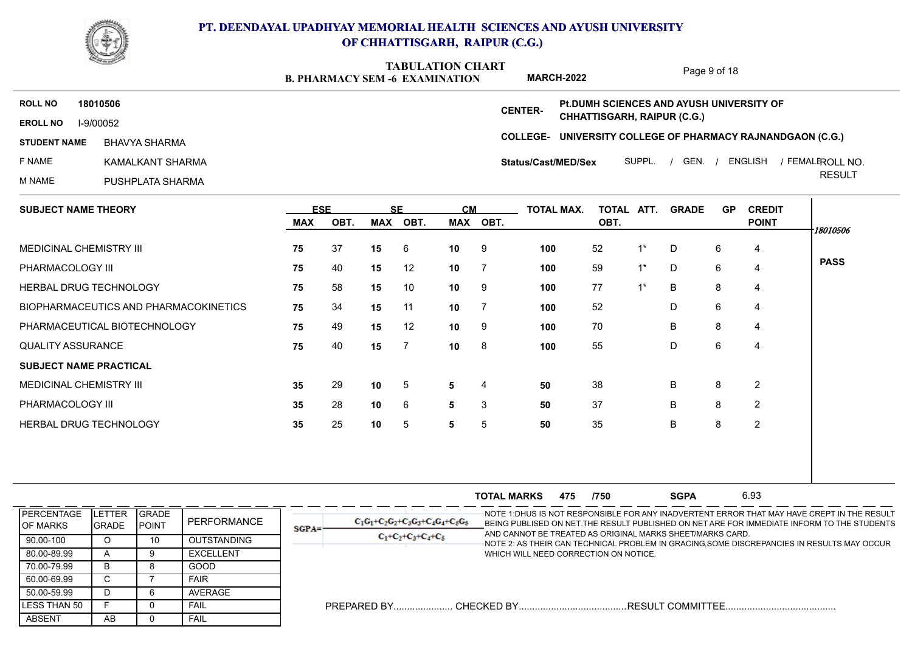

**B. PHARMACY SEM -6 EXAMINATION TABULATION CHART**

Page 9 of 18

**MARCH-2022 Pt.DUMH SCIENCES AND AYUSH UNIVERSITY OF ROLL NO 18010506 CENTER-CHHATTISGARH, RAIPUR (C.G.) EROLL NO** I-9/00052 **COLLEGE-UNIVERSITY COLLEGE OF PHARMACY RAJNANDGAON (C.G.) STUDENT NAME** / / / ROLL NO. BHAVYA SHARMA SUPPL. GEN. ENGLISH FEMALE **Status/Cast/MED/Sex** F NAME KAMALKANT SHARMA RESULT M NAME PUSHPLATA SHARMA  $\mathbf{L}$ 

| <b>SUBJECT NAME THEORY</b>            |     | <b>ESE</b> |    | <b>SE</b> | <b>CM</b>       |                | TOTAL MAX. | TOTAL ATT. |       | <b>GRADE</b> | <b>GP</b> | <b>CREDIT</b>  |             |
|---------------------------------------|-----|------------|----|-----------|-----------------|----------------|------------|------------|-------|--------------|-----------|----------------|-------------|
|                                       | MAX | OBT.       |    | MAX OBT.  |                 | MAX OBT.       |            | OBT.       |       |              |           | <b>POINT</b>   | 18010506    |
| MEDICINAL CHEMISTRY III               | 75  | 37         | 15 | -6        | 10 <sub>1</sub> | - 9            | 100        | 52         | $1^*$ | D            | 6         | 4              |             |
| PHARMACOLOGY III                      | 75  | 40         | 15 | 12        | 10              | $\overline{7}$ | 100        | 59         | $1^*$ | D            | 6         | $\overline{4}$ | <b>PASS</b> |
| <b>HERBAL DRUG TECHNOLOGY</b>         | 75  | 58         | 15 | 10        | 10 <sup>1</sup> | - 9            | 100        | 77         | $1^*$ | B            | 8         | 4              |             |
| BIOPHARMACEUTICS AND PHARMACOKINETICS | 75  | 34         | 15 | 11        | 10 <sup>1</sup> | $\overline{7}$ | 100        | 52         |       | D            | 6         | 4              |             |
| PHARMACEUTICAL BIOTECHNOLOGY          | 75  | 49         | 15 | 12        | 10              | - 9            | 100        | 70         |       | B            | 8         | $\overline{4}$ |             |
| <b>QUALITY ASSURANCE</b>              | 75  | 40         | 15 | -7        | 10 <sup>1</sup> | - 8            | 100        | 55         |       | D            | 6         | 4              |             |
| <b>SUBJECT NAME PRACTICAL</b>         |     |            |    |           |                 |                |            |            |       |              |           |                |             |
| MEDICINAL CHEMISTRY III               | 35  | 29         | 10 | 5         | 5               | 4              | 50         | 38         |       | B            | 8         | 2              |             |
| PHARMACOLOGY III                      | 35  | 28         | 10 | 6         | 5               | 3              | 50         | 37         |       | B            | 8         | 2              |             |
| <b>HERBAL DRUG TECHNOLOGY</b>         | 35  | 25         | 10 | 5         | 5               | 5              | 50         | 35         |       | B            | 8         | 2              |             |
|                                       |     |            |    |           |                 |                |            |            |       |              |           |                |             |
|                                       |     |            |    |           |                 |                |            |            |       |              |           |                |             |

|                                      |                        |                                |                    |         |                                      | <b>TOTAL MARKS</b>                    | 475 | /750 | <b>SGPA</b>                                               | 6.93 |                                                                                                                                                                                            |
|--------------------------------------|------------------------|--------------------------------|--------------------|---------|--------------------------------------|---------------------------------------|-----|------|-----------------------------------------------------------|------|--------------------------------------------------------------------------------------------------------------------------------------------------------------------------------------------|
| <b>PERCENTAGE</b><br><b>OF MARKS</b> | LETTER<br><b>GRADE</b> | <b>IGRADE</b><br><b>IPOINT</b> | PERFORMANCE        | $SGPA=$ | $C_1G_1+C_2G_2+C_3G_3+C_4G_4+C_5G_5$ |                                       |     |      | AND CANNOT BE TREATED AS ORIGINAL MARKS SHEET/MARKS CARD. |      | -NOTE 1:DHUS IS NOT RESPONSIBLE FOR ANY INADVERTENT ERROR THAT MAY HAVE CREPT IN THE RESULT<br>BEING PUBLISED ON NET. THE RESULT PUBLISHED ON NET ARE FOR IMMEDIATE INFORM TO THE STUDENTS |
| 90.00-100                            | O                      | 10                             | <b>OUTSTANDING</b> |         | $C_1+C_2+C_3+C_4+C_5$                |                                       |     |      |                                                           |      | NOTE 2: AS THEIR CAN TECHNICAL PROBLEM IN GRACING,SOME DISCREPANCIES IN RESULTS MAY OCCUR                                                                                                  |
| 80.00-89.99                          |                        |                                | EXCELLENT          |         |                                      | WHICH WILL NEED CORRECTION ON NOTICE. |     |      |                                                           |      |                                                                                                                                                                                            |
| 70.00-79.99                          | ה                      |                                | GOOD               |         |                                      |                                       |     |      |                                                           |      |                                                                                                                                                                                            |
| 60.00-69.99                          |                        |                                | <b>FAIR</b>        |         |                                      |                                       |     |      |                                                           |      |                                                                                                                                                                                            |
| 50.00-59.99                          |                        |                                | AVERAGE            |         |                                      |                                       |     |      |                                                           |      |                                                                                                                                                                                            |
| LESS THAN 50                         |                        |                                | FAIL               |         | PREPARED BY.                         | CHECKED BY                            |     |      | . RESULT COMMITTEE                                        |      |                                                                                                                                                                                            |
| ABSENT                               | AB                     |                                | FAIL               |         |                                      |                                       |     |      |                                                           |      |                                                                                                                                                                                            |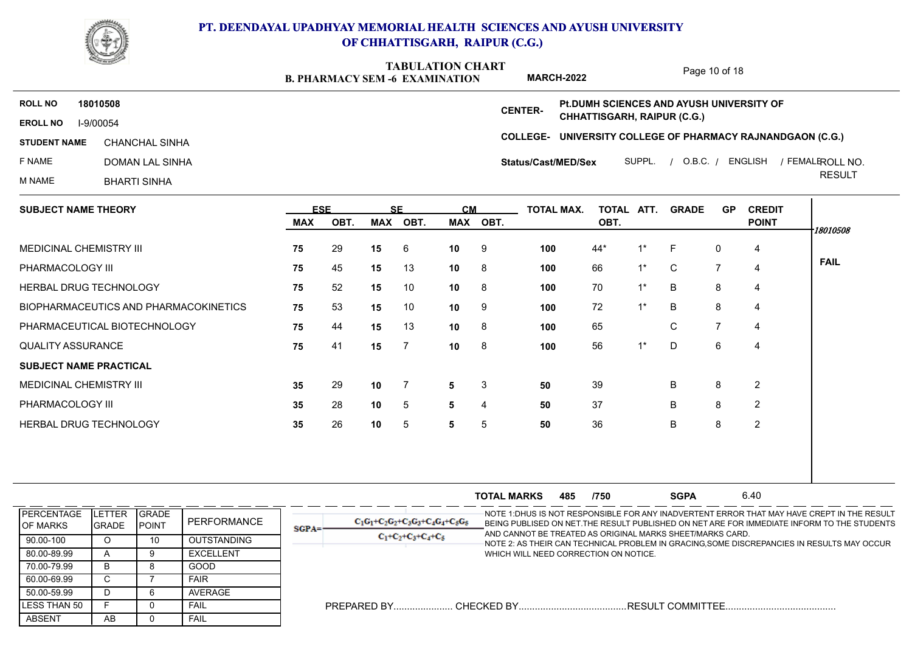

**B. PHARMACY SEM -6 EXAMINATION TABULATION CHART MARCH-2022**

Page 10 of 18

**COLLEGE-UNIVERSITY COLLEGE OF PHARMACY RAJNANDGAON (C.G.) EROLL NO** I-9/00054 **ROLL NO 18010508 CENTER-STUDENT NAME CHANCHAL SINHA** F NAME DOMAN LAL SINHA M NAME BHARTI SINHA / / / ROLL NO. CHANCHAL SINHA SUPPL. O.B.C. ENGLISH FEMALE RESULT **Status/Cast/MED/Sex Pt.DUMH SCIENCES AND AYUSH UNIVERSITY OF CHHATTISGARH, RAIPUR (C.G.)**

| <b>SUBJECT NAME THEORY</b>            |            | <b>ESE</b> |     | <b>SF</b>       | <b>CM</b>       |      | <b>TOTAL MAX.</b> | TOTAL ATT. |       | <b>GRADE</b> | <b>GP</b>      | <b>CREDIT</b>  |             |
|---------------------------------------|------------|------------|-----|-----------------|-----------------|------|-------------------|------------|-------|--------------|----------------|----------------|-------------|
|                                       | <b>MAX</b> | OBT.       | MAX | OBT.            | MAX             | OBT. |                   | OBT.       |       |              |                | <b>POINT</b>   | 18010508    |
| MEDICINAL CHEMISTRY III               | 75         | 29         | 15  | 6               | 10              | 9    | 100               | 44*        | 1*    | F            | 0              | 4              |             |
| PHARMACOLOGY III                      | 75         | 45         | 15  | 13              | 10              | 8    | 100               | 66         | $1^*$ | C            | $\overline{7}$ | $\overline{4}$ | <b>FAIL</b> |
| HERBAL DRUG TECHNOLOGY                | 75         | 52         | 15  | 10              | 10              | 8    | 100               | 70         | $1^*$ | B            | 8              | 4              |             |
| BIOPHARMACEUTICS AND PHARMACOKINETICS | 75         | 53         | 15  | 10              | 10 <sup>°</sup> | 9    | 100               | 72         | $1^*$ | B            | 8              | $\overline{4}$ |             |
| PHARMACEUTICAL BIOTECHNOLOGY          | 75         | 44         | 15  | 13              | 10              | 8    | 100               | 65         |       | C            | $\overline{7}$ | $\overline{4}$ |             |
| <b>QUALITY ASSURANCE</b>              | 75         | 41         | 15  | $\overline{7}$  | 10              | 8    | 100               | 56         | $1^*$ | D            | 6              | $\overline{4}$ |             |
| <b>SUBJECT NAME PRACTICAL</b>         |            |            |     |                 |                 |      |                   |            |       |              |                |                |             |
| MEDICINAL CHEMISTRY III               | 35         | 29         | 10  | 7               | 5               | 3    | 50                | 39         |       | B            | 8              | $\overline{2}$ |             |
| PHARMACOLOGY III                      | 35         | 28         | 10  | $5\phantom{.0}$ | 5               | 4    | 50                | 37         |       | B            | 8              | $\overline{2}$ |             |
| HERBAL DRUG TECHNOLOGY                | 35         | 26         | 10  | 5               | 5               | 5    | 50                | 36         |       | B            | 8              | $\overline{2}$ |             |
|                                       |            |            |     |                 |                 |      |                   |            |       |              |                |                |             |
|                                       |            |            |     |                 |                 |      |                   |            |       |              |                |                |             |

|                                        |                                 |                                |                    |          |                                      | <b>TOTAL MARKS</b>                    | 485 | /750 | <b>SGPA</b>                                               | 6.40 |                                                                                                                                                                                            |
|----------------------------------------|---------------------------------|--------------------------------|--------------------|----------|--------------------------------------|---------------------------------------|-----|------|-----------------------------------------------------------|------|--------------------------------------------------------------------------------------------------------------------------------------------------------------------------------------------|
| <b>IPERCENTAGE</b><br><b>IOF MARKS</b> | <b>ILETTER</b><br><b>IGRADE</b> | <b>I</b> GRADE<br><b>POINT</b> | PERFORMANCE        | $SGPA =$ | $C_1G_1+C_2G_2+C_3G_3+C_4G_4+C_5G_5$ |                                       |     |      | AND CANNOT BE TREATED AS ORIGINAL MARKS SHEET/MARKS CARD. |      | -NOTE 1:DHUS IS NOT RESPONSIBLE FOR ANY INADVERTENT ERROR THAT MAY HAVE CREPT IN THE RESULT<br>BEING PUBLISED ON NET. THE RESULT PUBLISHED ON NET ARE FOR IMMEDIATE INFORM TO THE STUDENTS |
| 90.00-100                              |                                 | 10                             | <b>OUTSTANDING</b> |          | $C_1+C_2+C_3+C_4+C_5$                |                                       |     |      |                                                           |      | NOTE 2: AS THEIR CAN TECHNICAL PROBLEM IN GRACING,SOME DISCREPANCIES IN RESULTS MAY OCCUR                                                                                                  |
| 80.00-89.99                            |                                 |                                | <b>EXCELLENT</b>   |          |                                      | WHICH WILL NEED CORRECTION ON NOTICE. |     |      |                                                           |      |                                                                                                                                                                                            |
| 70.00-79.99                            | в                               |                                | GOOD               |          |                                      |                                       |     |      |                                                           |      |                                                                                                                                                                                            |
| 60.00-69.99                            |                                 |                                | <b>FAIR</b>        |          |                                      |                                       |     |      |                                                           |      |                                                                                                                                                                                            |
| 50.00-59.99                            | D                               |                                | AVERAGE            |          |                                      |                                       |     |      |                                                           |      |                                                                                                                                                                                            |
| LESS THAN 50                           |                                 |                                | FAIL               |          | PREPARED BY.                         |                                       |     |      |                                                           |      |                                                                                                                                                                                            |
| <b>ABSENT</b>                          | AB                              |                                | <b>FAIL</b>        |          |                                      |                                       |     |      |                                                           |      |                                                                                                                                                                                            |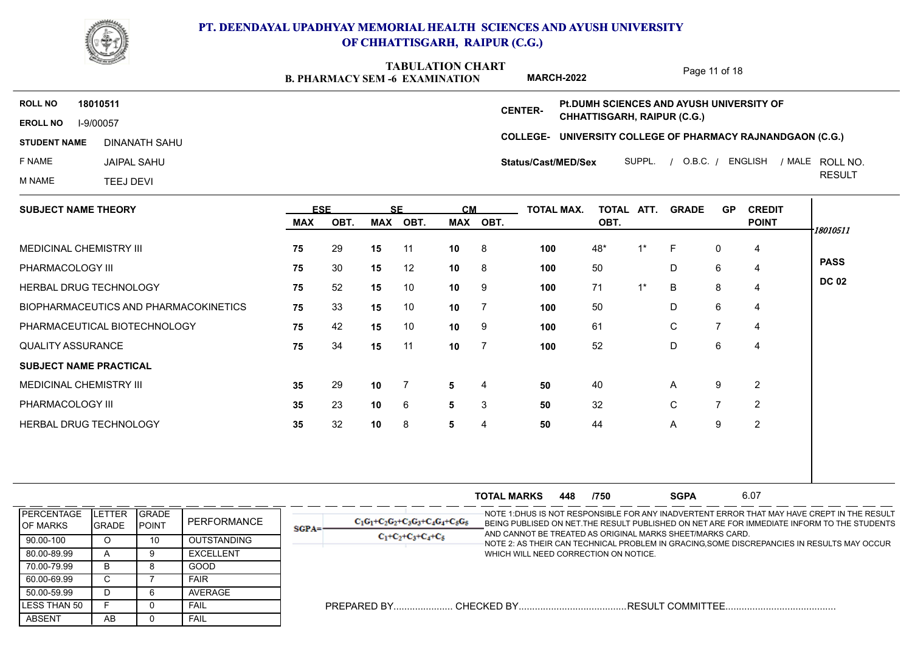

**B. PHARMACY SEM -6 EXAMINATION TABULATION CHART**

Page 11 of 18

**COLLEGE-UNIVERSITY COLLEGE OF PHARMACY RAJNANDGAON (C.G.) EROLL NO** I-9/00057 **ROLL NO 18010511 CENTER-STUDENT NAME** F NAME JAIPAL SAHU M NAME TEEJ DEVI / / / ROLL NO. DINANATH SAHU SUPPL. O.B.C. ENGLISH MALE RESULT **Status/Cast/MED/Sex Pt.DUMH SCIENCES AND AYUSH UNIVERSITY OF CHHATTISGARH, RAIPUR (C.G.) MARCH-2022**

| <b>SUBJECT NAME THEORY</b>            | <b>ESE</b> |      | <b>SF</b> |      | <b>CM</b> |          | <b>TOTAL MAX.</b> | TOTAL ATT. |       | <b>GRADE</b> | <b>GP</b>      | <b>CREDIT</b>  |              |
|---------------------------------------|------------|------|-----------|------|-----------|----------|-------------------|------------|-------|--------------|----------------|----------------|--------------|
|                                       | <b>MAX</b> | OBT. | MAX       | OBT. |           | MAX OBT. |                   | OBT.       |       |              |                | <b>POINT</b>   | 18010511     |
| <b>MEDICINAL CHEMISTRY III</b>        | 75         | 29   | 15        | -11  | 10        | - 8      | 100               | 48*        | $1^*$ | F.           | 0              | 4              |              |
| PHARMACOLOGY III                      | 75         | 30   | 15        | 12   | 10        | - 8      | 100               | 50         |       | D            | 6              | $\overline{4}$ | <b>PASS</b>  |
| <b>HERBAL DRUG TECHNOLOGY</b>         | 75         | 52   | 15        | 10   | 10        | -9       | 100               | 71         | $1^*$ | B            | 8              | 4              | <b>DC 02</b> |
| BIOPHARMACEUTICS AND PHARMACOKINETICS | 75         | 33   | 15        | 10   | 10        |          | 100               | 50         |       | D            | 6              | 4              |              |
| PHARMACEUTICAL BIOTECHNOLOGY          | 75         | 42   | 15        | 10   | 10        | -9       | 100               | 61         |       | C            |                | 4              |              |
| <b>QUALITY ASSURANCE</b>              | 75         | 34   | 15        | 11   | 10        |          | 100               | 52         |       | D            | 6              | 4              |              |
| <b>SUBJECT NAME PRACTICAL</b>         |            |      |           |      |           |          |                   |            |       |              |                |                |              |
| <b>MEDICINAL CHEMISTRY III</b>        | 35         | 29   | 10        |      | 5         | 4        | 50                | 40         |       | $\mathsf{A}$ | 9              | $\overline{2}$ |              |
| PHARMACOLOGY III                      | 35         | 23   | 10        | 6    | 5         | 3        | 50                | 32         |       | C            | $\overline{7}$ | 2              |              |
| HERBAL DRUG TECHNOLOGY                | 35         | 32   | 10        | 8    | 5         | 4        | 50                | 44         |       | A            | 9              | $\overline{2}$ |              |
|                                       |            |      |           |      |           |          |                   |            |       |              |                |                |              |

|                                        |                                 |                                |                  |         |                                      | <b>TOTAL MARKS</b>                    | 448 | /750 | <b>SGPA</b>                                               | 6.07 |                                                                                                                                                                                            |
|----------------------------------------|---------------------------------|--------------------------------|------------------|---------|--------------------------------------|---------------------------------------|-----|------|-----------------------------------------------------------|------|--------------------------------------------------------------------------------------------------------------------------------------------------------------------------------------------|
| <b>IPERCENTAGE</b><br><b>IOF MARKS</b> | <b>ILETTER</b><br><b>IGRADE</b> | <b>IGRADE</b><br><b>IPOINT</b> | PERFORMANCE      | $SGPA=$ | $C_1G_1+C_2G_2+C_3G_3+C_4G_4+C_5G_5$ |                                       |     |      | AND CANNOT BE TREATED AS ORIGINAL MARKS SHEET/MARKS CARD. |      | -NOTE 1:DHUS IS NOT RESPONSIBLE FOR ANY INADVERTENT ERROR THAT MAY HAVE CREPT IN THE RESULT<br>BEING PUBLISED ON NET. THE RESULT PUBLISHED ON NET ARE FOR IMMEDIATE INFORM TO THE STUDENTS |
| 90.00-100                              |                                 |                                | OUTSTANDING      |         | $C_1+C_2+C_3+C_4+C_5$                |                                       |     |      |                                                           |      | NOTE 2: AS THEIR CAN TECHNICAL PROBLEM IN GRACING,SOME DISCREPANCIES IN RESULTS MAY OCCUR                                                                                                  |
| 80.00-89.99                            |                                 |                                | <b>EXCELLENT</b> |         |                                      | WHICH WILL NEED CORRECTION ON NOTICE. |     |      |                                                           |      |                                                                                                                                                                                            |
| 70.00-79.99                            | B.                              |                                | GOOD             |         |                                      |                                       |     |      |                                                           |      |                                                                                                                                                                                            |
| 60.00-69.99                            |                                 |                                | <b>FAIR</b>      |         |                                      |                                       |     |      |                                                           |      |                                                                                                                                                                                            |
| 50.00-59.99                            |                                 |                                | AVERAGE          |         |                                      |                                       |     |      |                                                           |      |                                                                                                                                                                                            |
| <b>ILESS THAN 50</b>                   |                                 |                                | FAIL             |         |                                      |                                       |     |      | RESULT COMMITTEE                                          |      |                                                                                                                                                                                            |
| ABSENT                                 | AB                              |                                | <b>FAIL</b>      |         |                                      |                                       |     |      |                                                           |      |                                                                                                                                                                                            |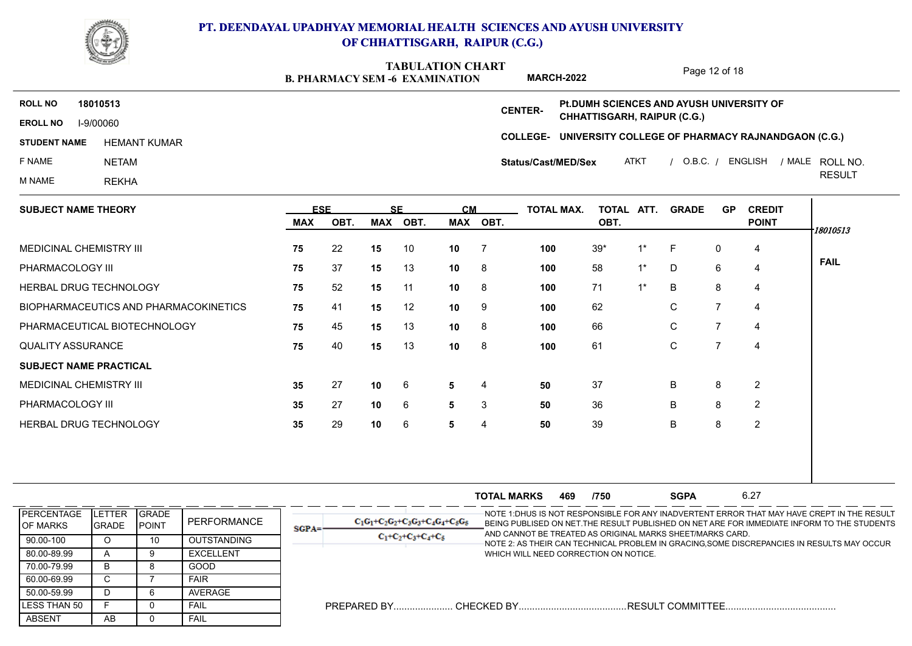

**B. PHARMACY SEM -6 EXAMINATION TABULATION CHART**

Page 12 of 18

2 2 2

**COLLEGE-UNIVERSITY COLLEGE OF PHARMACY RAJNANDGAON (C.G.) EROLL NO** I-9/00060 **ROLL NO 18010513 CENTER-STUDENT NAME** F NAME NETAM ATKT / O.B.C. / ENGLISH / MALE ROLL NO. REMANT KUMAR هادا المسابق المسلمين المسلمين المسلمين المسلمين المسلمين المسلمين المسلمين المسلمين المسلمين الم<br>Status/Cast/MED/Sex ATKT / O.B.C. / ENGLISH / MALE ROLL NO. **Status/Cast/MED/Sex Pt.DUMH SCIENCES AND AYUSH UNIVERSITY OF CHHATTISGARH, RAIPUR (C.G.)**

> **10 10 10**

**35 35 35**

PHARMACOLOGY III

**SUBJECT NAME PRACTICAL** MEDICINAL CHEMISTRY III

QUALITY ASSURANCE

HERBAL DRUG TECHNOLOGY

PHARMACOLOGY III

M NAME REKHA **RESULT SUBJECT NAME THEORY** MEDICINAL CHEMISTRY III HERBAL DRUG TECHNOLOGY BIOPHARMACEUTICS AND PHARMACOKINETICS PHARMACEUTICAL BIOTECHNOLOGY 75 **ESE SE CM MAX OBT. MAX OBT. MAX OBT. TOTAL MAX. TOTAL ATT. OBT. GRADE GP CREDIT POINT 75 75 75 75 75 75** 10 **10** 7 **15 11 10** 8 **12 10** 9 **15 15 10 100 10 100 10 100 10 100 10 100 10** 8 **100** 61 4 4 4 4 4 4 22 15 10 10 7 100 39\* 1\* F 0 4 | 37 13 8 58 1\* D 6 52 **15** 11 **10** 8 **100** 71 1\* B 8 4 | 41 12 9 62 C 7 45 13 8 66 C 7 40 13 8 61 C 7 **FAIL** *18010513*

> **5 5 5**

**50 50 50**

27 10 6 5 4 50 37 B 8 2 | 27 10 6 5 3 50 36 B 8 2 | 29 10 6 5 4 50 39 B 8 2 |

**MARCH-2022**

|                                       |                         |                               |                  |          |                                      | <b>TOTAL MARKS</b>                    | 469 | /750 | <b>SGPA</b>                                               | 6.27 |                                                                                                                                                                                            |
|---------------------------------------|-------------------------|-------------------------------|------------------|----------|--------------------------------------|---------------------------------------|-----|------|-----------------------------------------------------------|------|--------------------------------------------------------------------------------------------------------------------------------------------------------------------------------------------|
| <b>PERCENTAGE</b><br><b>IOF MARKS</b> | LETTER<br><b>IGRADE</b> | <b>GRADE</b><br><b>IPOINT</b> | PERFORMANCE      | $SGPA =$ | $C_1C_1+C_2C_2+C_3C_3+C_4C_4+C_5C_5$ |                                       |     |      | AND CANNOT BE TREATED AS ORIGINAL MARKS SHEET/MARKS CARD. |      | -NOTE 1:DHUS IS NOT RESPONSIBLE FOR ANY INADVERTENT ERROR THAT MAY HAVE CREPT IN THE RESULT<br>BEING PUBLISED ON NET. THE RESULT PUBLISHED ON NET ARE FOR IMMEDIATE INFORM TO THE STUDENTS |
| 90.00-100                             |                         | 10                            | OUTSTANDING      |          | $C_1+C_2+C_3+C_4+C_5$                |                                       |     |      |                                                           |      | NOTE 2: AS THEIR CAN TECHNICAL PROBLEM IN GRACING,SOME DISCREPANCIES IN RESULTS MAY OCCUR                                                                                                  |
| 80.00-89.99                           | $\sqrt{ }$              |                               | <b>EXCELLENT</b> |          |                                      | WHICH WILL NEED CORRECTION ON NOTICE. |     |      |                                                           |      |                                                                                                                                                                                            |
| 70.00-79.99                           | B                       |                               | GOOD             |          |                                      |                                       |     |      |                                                           |      |                                                                                                                                                                                            |
| 60.00-69.99                           | ι.                      |                               | <b>FAIR</b>      |          |                                      |                                       |     |      |                                                           |      |                                                                                                                                                                                            |
| 50.00-59.99                           |                         |                               | AVERAGE          |          |                                      |                                       |     |      |                                                           |      |                                                                                                                                                                                            |
| LESS THAN 50                          |                         |                               | FAIL             |          |                                      |                                       |     |      |                                                           |      |                                                                                                                                                                                            |
| ABSENT                                | AB                      |                               | <b>FAIL</b>      |          |                                      |                                       |     |      |                                                           |      |                                                                                                                                                                                            |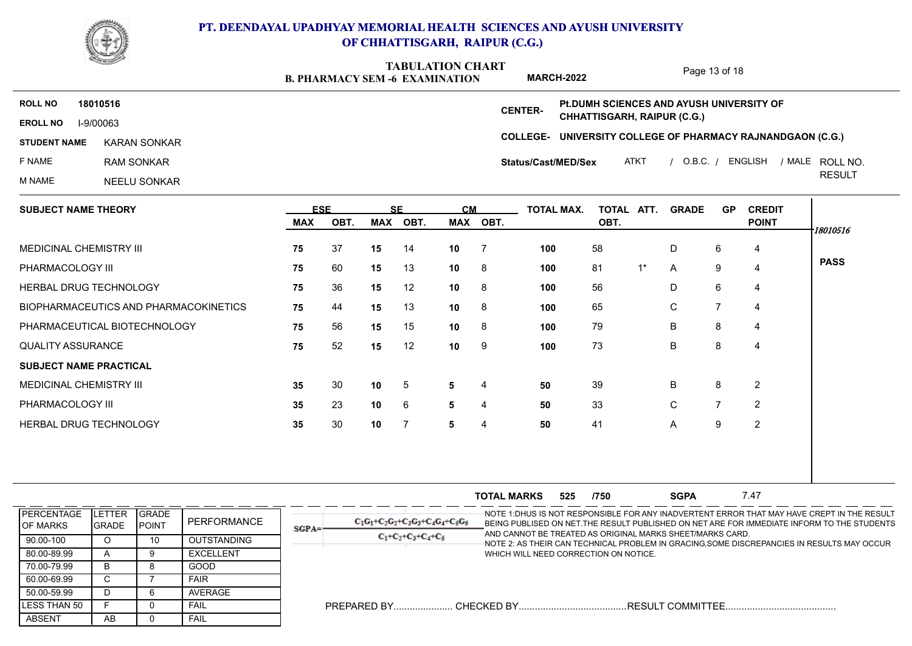

**B. PHARMACY SEM -6 EXAMINATION TABULATION CHART**

Page 13 of 18

**COLLEGE-UNIVERSITY COLLEGE OF PHARMACY RAJNANDGAON (C.G.) EROLL NO** I-9/00063 **ROLL NO 18010516 CENTER-STUDENT NAME** F NAME RAM SONKAR M NAME NEELU SONKAR ATKT / O.B.C. / ENGLISH / MALE ROLL NO. RESULT ROLL NO. KARAN SONKAR **Status/Cast/MED/Sex Pt.DUMH SCIENCES AND AYUSH UNIVERSITY OF CHHATTISGARH, RAIPUR (C.G.) MARCH-2022**

| <b>SUBJECT NAME THEORY</b>            | <b>ESE</b> |      |            | <b>SE</b>       | <b>CM</b>       |                | TOTAL MAX. | TOTAL | ATT.  | <b>GRADE</b> | <b>GP</b>      | <b>CREDIT</b>  |             |
|---------------------------------------|------------|------|------------|-----------------|-----------------|----------------|------------|-------|-------|--------------|----------------|----------------|-------------|
|                                       | MAX        | OBT. | <b>MAX</b> | OBT.            |                 | MAX OBT.       |            | OBT.  |       |              |                | <b>POINT</b>   | 18010516    |
| MEDICINAL CHEMISTRY III               | 75         | 37   | 15         | 14              | 10 <sub>1</sub> | $\overline{7}$ | 100        | 58    |       | D            | 6              | 4              |             |
| PHARMACOLOGY III                      | 75         | 60   | 15         | 13              | 10              | 8              | 100        | 81    | $1^*$ | A            | 9              | $\overline{4}$ | <b>PASS</b> |
| <b>HERBAL DRUG TECHNOLOGY</b>         | 75         | 36   | 15         | 12              | 10              | - 8            | 100        | 56    |       | D            | 6              | 4              |             |
| BIOPHARMACEUTICS AND PHARMACOKINETICS | 75         | 44   | 15         | 13              | 10              | 8              | 100        | 65    |       | C            |                | 4              |             |
| PHARMACEUTICAL BIOTECHNOLOGY          | 75         | 56   | 15         | 15              | 10 <sup>1</sup> | $_{\rm 8}$     | 100        | 79    |       | B            | 8              | 4              |             |
| <b>QUALITY ASSURANCE</b>              | 75         | 52   | 15         | 12              | 10              | -9             | 100        | 73    |       | B            | 8              | 4              |             |
| <b>SUBJECT NAME PRACTICAL</b>         |            |      |            |                 |                 |                |            |       |       |              |                |                |             |
| MEDICINAL CHEMISTRY III               | 35         | 30   | 10         | $5\phantom{.0}$ | 5 <sup>5</sup>  | 4              | 50         | 39    |       | B            | 8              | 2              |             |
| PHARMACOLOGY III                      | 35         | 23   | 10         | 6               | 5               | 4              | 50         | 33    |       | C            | $\overline{ }$ | 2              |             |
| HERBAL DRUG TECHNOLOGY                | 35         | 30   | 10         | -7              | 5               | 4              | 50         | 41    |       | A            | 9              | 2              |             |
|                                       |            |      |            |                 |                 |                |            |       |       |              |                |                |             |
|                                       |            |      |            |                 |                 |                |            |       |       |              |                |                |             |

**TOTAL MARKS 525 /750 SGPA 7.47 SGPA 525 /750 SGPA** 7.47 NOTE 1:DHUS IS NOT RESPONSIBLE FOR ANY INADVERTENT ERROR THAT MAY HAVE CREPT IN THE RESULT BEING PUBLISED ON NET.THE RESULT PUBLISHED ON NET ARE FOR IMMEDIATE INFORM TO THE STUDENTS AND CANNOT BE TREATED AS ORIGINAL MARKS SHEET/MARKS CARD. NOTE 2: AS THEIR CAN TECHNICAL PROBLEM IN GRACING,SOME DISCREPANCIES IN RESULTS MAY OCCUR WHICH WILL NEED CORRECTION ON NOTICE. PREPARED BY...................... CHECKED BY........................................RESULT COMMITTEE......................................... ABSENT | AB | 0 LESS THAN 50 F O 50.00-59.99 | D | 6 60.00-69.99 C 7 70.00-79.99 | B | 8 80.00-89.99 | A | 9 90.00-100 | O | 10 **PERCENTAGE** OF MARKS **GRADE** POINT LETTER GRADE GRADE GRADE PERFORMANCE  $\begin{array}{|c|c|c|c|c|c|c|c|c|}\hline \text{GRADE} & & \text{C}_1\text{G}_1+\text{C}_2 \\\hline \end{array}$ O 10 OUTSTANDING A 9 EXCELLENT B 8 GOOD C | 7 | FAIR | | D 6 AVERAGE F 0 FAIL AB 0 FAIL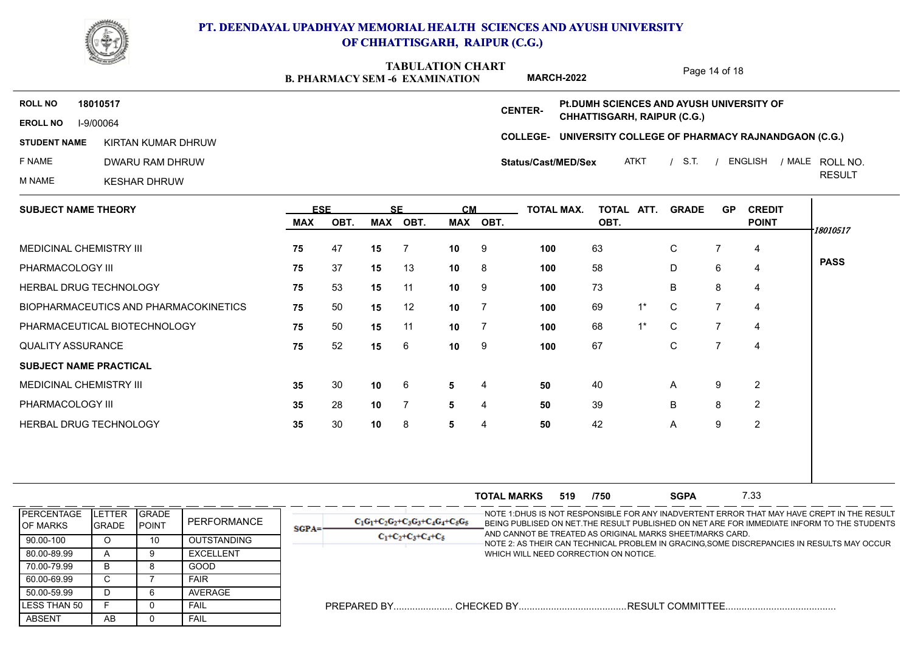

**B. PHARMACY SEM -6 EXAMINATION TABULATION CHART MARCH-2022**

Page 14 of 18

**COLLEGE-UNIVERSITY COLLEGE OF PHARMACY RAJNANDGAON (C.G.) EROLL NO** I-9/00064 **ROLL NO 18010517 CENTER-STUDENT NAME KIRTAN KUMAR DHRUW** F NAME DWARU RAM DHRUW KIRTAN KUMAR DHRUW هادا المستقيمة المستقيمة المستقيمة المستقيمة المستقيمة المستقيمة المستقيمة المستقيمة المستق<br>BWARU RAM DHRUW هادا المستقيمة المستقيمة المستقيمة المستقيمة المستقيمة المستقيمة المستقيمة المستقيمة المستقيمة **Status/Cast/MED/Sex Pt.DUMH SCIENCES AND AYUSH UNIVERSITY OF CHHATTISGARH, RAIPUR (C.G.)**

M NAME KESHAR DHRUW

ATKT / S.T. / ENGLISH / MALE ROLL NO. RESULT

| <b>SUBJECT NAME THEORY</b>            |     | <b>ESE</b> |     | <b>SE</b> | <b>CM</b> |          | TOTAL MAX. | TOTAL ATT. |       | <b>GRADE</b> | <b>GP</b> | <b>CREDIT</b>  |             |
|---------------------------------------|-----|------------|-----|-----------|-----------|----------|------------|------------|-------|--------------|-----------|----------------|-------------|
|                                       | MAX | OBT.       | MAX | OBT.      |           | MAX OBT. |            | OBT.       |       |              |           | <b>POINT</b>   | 18010517    |
| MEDICINAL CHEMISTRY III               | 75  | 47         | 15  | - 7       | 10        | - 9      | 100        | 63         |       | $\mathsf{C}$ |           | 4              |             |
| PHARMACOLOGY III                      | 75  | 37         | 15  | 13        | 10        | - 8      | 100        | 58         |       | D            | 6         | 4              | <b>PASS</b> |
| <b>HERBAL DRUG TECHNOLOGY</b>         | 75  | 53         | 15  | 11        | 10        | -9       | 100        | 73         |       | B            | 8         | $\overline{4}$ |             |
| BIOPHARMACEUTICS AND PHARMACOKINETICS | 75  | 50         | 15  | 12        | 10        |          | 100        | 69         | $1^*$ | $\mathbf C$  |           | $\overline{4}$ |             |
| PHARMACEUTICAL BIOTECHNOLOGY          | 75  | 50         | 15  | 11        | 10        |          | 100        | 68         | $1^*$ | $\mathbf C$  |           | 4              |             |
| <b>QUALITY ASSURANCE</b>              | 75  | 52         | 15  | 6         | 10        | - 9      | 100        | 67         |       | $\mathsf{C}$ |           | 4              |             |
| <b>SUBJECT NAME PRACTICAL</b>         |     |            |     |           |           |          |            |            |       |              |           |                |             |
| MEDICINAL CHEMISTRY III               | 35  | 30         | 10  | 6         | 5         | -4       | 50         | 40         |       | $\mathsf{A}$ | 9         | $\overline{2}$ |             |
| PHARMACOLOGY III                      | 35  | 28         | 10  | -7        | 5         | 4        | 50         | 39         |       | B            | 8         | $\overline{2}$ |             |
| HERBAL DRUG TECHNOLOGY                | 35  | 30         | 10  | 8         | 5         | 4        | 50         | 42         |       | A            | 9         | 2              |             |

|                                        |                                 |                                |                    |         |                                      | <b>TOTAL MARKS</b>                    | 519 | /750 | <b>SGPA</b>                                               | 7.33 |                                                                                                                                                                                            |
|----------------------------------------|---------------------------------|--------------------------------|--------------------|---------|--------------------------------------|---------------------------------------|-----|------|-----------------------------------------------------------|------|--------------------------------------------------------------------------------------------------------------------------------------------------------------------------------------------|
| <b>IPERCENTAGE</b><br><b>IOF MARKS</b> | <b>ILETTER</b><br><b>IGRADE</b> | <b>IGRADE</b><br><b>IPOINT</b> | PERFORMANCE        | $SGPA=$ | $C_1G_1+C_2G_2+C_3G_3+C_4G_4+C_5G_5$ |                                       |     |      | AND CANNOT BE TREATED AS ORIGINAL MARKS SHEET/MARKS CARD. |      | -NOTE 1:DHUS IS NOT RESPONSIBLE FOR ANY INADVERTENT ERROR THAT MAY HAVE CREPT IN THE RESULT<br>BEING PUBLISED ON NET. THE RESULT PUBLISHED ON NET ARE FOR IMMEDIATE INFORM TO THE STUDENTS |
| 90.00-100                              |                                 |                                | <b>OUTSTANDING</b> |         | $C_1+C_2+C_3+C_4+C_5$                |                                       |     |      |                                                           |      | NOTE 2: AS THEIR CAN TECHNICAL PROBLEM IN GRACING,SOME DISCREPANCIES IN RESULTS MAY OCCUR                                                                                                  |
| 80.00-89.99                            |                                 |                                | <b>EXCELLENT</b>   |         |                                      | WHICH WILL NEED CORRECTION ON NOTICE. |     |      |                                                           |      |                                                                                                                                                                                            |
| 70.00-79.99                            | В                               |                                | GOOD               |         |                                      |                                       |     |      |                                                           |      |                                                                                                                                                                                            |
| 60.00-69.99                            | C.                              |                                | <b>FAIR</b>        |         |                                      |                                       |     |      |                                                           |      |                                                                                                                                                                                            |
| 50.00-59.99                            |                                 |                                | AVERAGE            |         |                                      |                                       |     |      |                                                           |      |                                                                                                                                                                                            |
| <b>ILESS THAN 50</b>                   |                                 |                                | FAIL               |         |                                      |                                       |     |      |                                                           |      |                                                                                                                                                                                            |
| ABSENT                                 | AB                              |                                | FAIL               |         |                                      |                                       |     |      |                                                           |      |                                                                                                                                                                                            |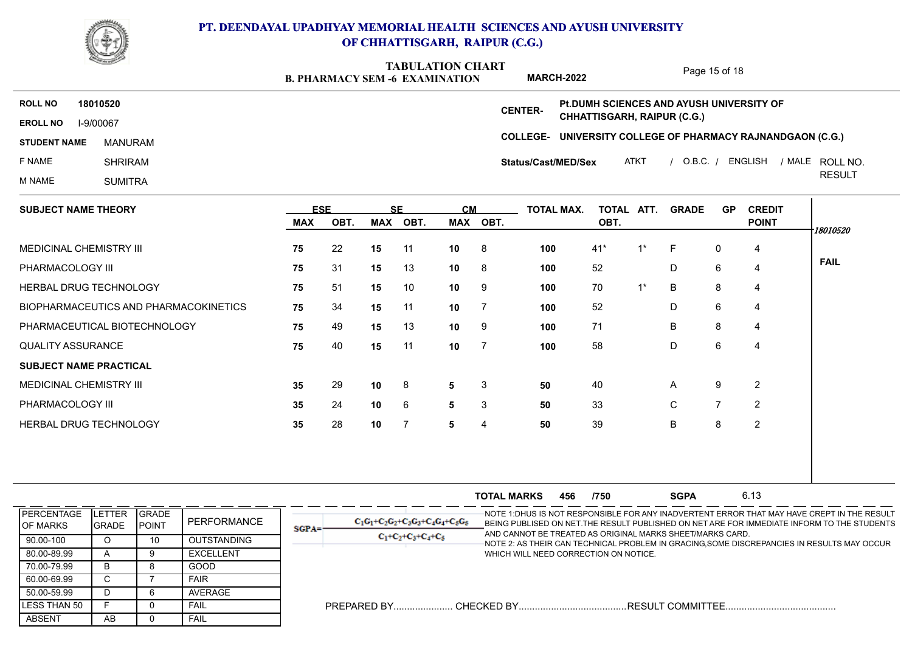

**B. PHARMACY SEM -6 EXAMINATION TABULATION CHART**

Page 15 of 18

**MARCH-2022 Pt.DUMH SCIENCES AND AYUSH UNIVERSITY OF ROLL NO 18010520 CENTER-CHHATTISGARH, RAIPUR (C.G.) EROLL NO** I-9/00067 **COLLEGE-UNIVERSITY COLLEGE OF PHARMACY RAJNANDGAON (C.G.) STUDENT NAME** ROLL NO. MANURAM F NAME SHRIRAM **Status/Cast/MED/Sex** ATKT / O.B.C. / ENGLISH / MALE ROLL NO. RESULT M NAME SUMITRA  $\mathbf{I}$ 

| <b>SUBJECT NAME THEORY</b>            | <b>ESE</b> |      |            | <b>SF</b><br><b>CM</b> |                 |      | <b>TOTAL MAX.</b> | TOTAL ATT. |       | <b>GRADE</b> | <b>GP</b>      | <b>CREDIT</b>  |
|---------------------------------------|------------|------|------------|------------------------|-----------------|------|-------------------|------------|-------|--------------|----------------|----------------|
|                                       | <b>MAX</b> | OBT. | <b>MAX</b> | OBT.                   | <b>MAX</b>      | OBT. |                   | OBT.       |       |              |                | <b>POINT</b>   |
| MEDICINAL CHEMISTRY III               | 75         | 22   | 15         | 11                     | 10              | 8    | 100               | $41*$      | $1^*$ | -F           | 0              | 4              |
| PHARMACOLOGY III                      | 75         | 31   | 15         | 13                     | 10              | 8    | 100               | 52         |       | D            | 6              | 4              |
| HERBAL DRUG TECHNOLOGY                | 75         | 51   | 15         | 10                     | 10              | 9    | 100               | 70         | $1^*$ | B            | 8              | 4              |
| BIOPHARMACEUTICS AND PHARMACOKINETICS | 75         | 34   | 15         | 11                     | 10              | -7   | 100               | 52         |       | D            | 6              | 4              |
| PHARMACEUTICAL BIOTECHNOLOGY          | 75         | 49   | 15         | 13                     | 10 <sup>°</sup> | 9    | 100               | 71         |       | B            | 8              | 4              |
| <b>QUALITY ASSURANCE</b>              | 75         | 40   | 15         | 11                     | 10              |      | 100               | 58         |       | D            | 6              | 4              |
| <b>SUBJECT NAME PRACTICAL</b>         |            |      |            |                        |                 |      |                   |            |       |              |                |                |
| MEDICINAL CHEMISTRY III               | 35         | 29   | 10         | 8                      | 5               | 3    | 50                | 40         |       | A            | 9              | 2              |
| PHARMACOLOGY III                      | 35         | 24   | 10         | 6                      | 5               | 3    | 50                | 33         |       | $\mathsf C$  | $\overline{7}$ | $\overline{2}$ |
| <b>HERBAL DRUG TECHNOLOGY</b>         | 35         | 28   | 10         |                        | 5               | 4    | 50                | 39         |       | B            | 8              | 2              |

**TOTAL MARKS 456 /750 SGPA** 6.13 **SGPA 456 /750 SGPA** 6.13 NOTE 1:DHUS IS NOT RESPONSIBLE FOR ANY INADVERTENT ERROR THAT MAY HAVE CREPT IN THE RESULT BEING PUBLISED ON NET.THE RESULT PUBLISHED ON NET ARE FOR IMMEDIATE INFORM TO THE STUDENTS AND CANNOT BE TREATED AS ORIGINAL MARKS SHEET/MARKS CARD. NOTE 2: AS THEIR CAN TECHNICAL PROBLEM IN GRACING,SOME DISCREPANCIES IN RESULTS MAY OCCUR WHICH WILL NEED CORRECTION ON NOTICE. PREPARED BY...................... CHECKED BY........................................RESULT COMMITTEE......................................... ABSENT | AB | 0 LESS THAN 50 F O 50.00-59.99 | D | 6 60.00-69.99 C 7 70.00-79.99 | B | 8 80.00-89.99 | A | 9 90.00-100 | 0 | 10 **PERCENTAGE** OF MARKS **GRADE** POINT LETTER GRADE GRADE GRADE PERFORMANCE  $\begin{array}{|c|c|c|c|c|c|c|c|c|}\hline \text{GRADE} & & \text{C}_1\text{G}_1+\text{C}_2 & & \text{C}_1\text{G}_1+\text{C}_2 \hline \end{array}$ O 10 OUTSTANDING A 9 EXCELLENT B 8 GOOD C | 7 | FAIR | | D 6 AVERAGE F 0 FAIL AB 0 FAIL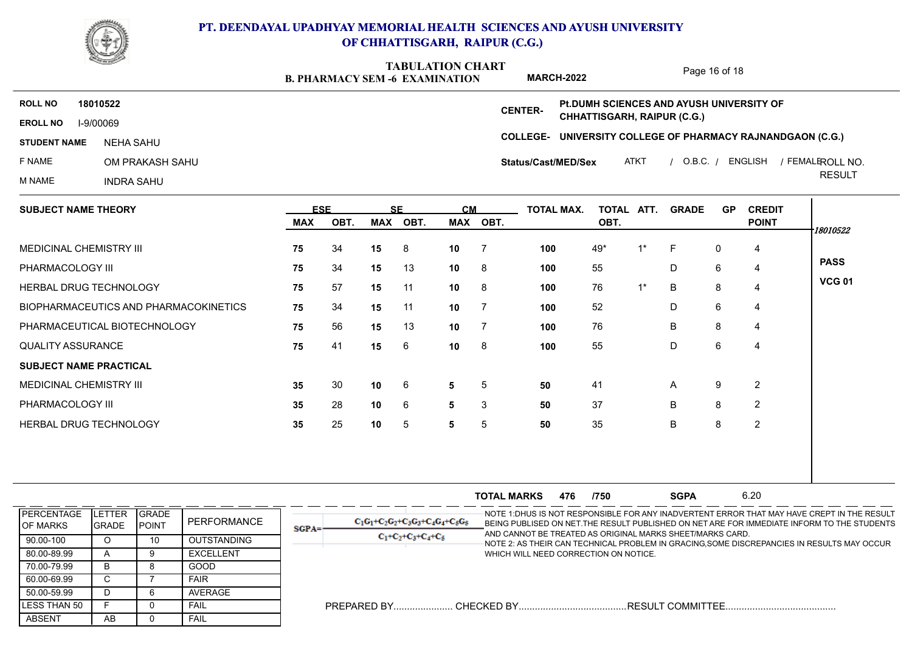

**B. PHARMACY SEM -6 EXAMINATION TABULATION CHART MARCH-2022**

Page 16 of 18

**COLLEGE-UNIVERSITY COLLEGE OF PHARMACY RAJNANDGAON (C.G.) EROLL NO** I-9/00069 **ROLL NO 18010522 CENTER-STUDENT NAME** F NAME OM PRAKASH SAHU M NAME INDRA SAHU ATKT / O.B.C. / ENGLISH / FEMALEROLL NO. RESULT ROLL NO. NEHA SAHU **Status/Cast/MED/Sex Pt.DUMH SCIENCES AND AYUSH UNIVERSITY OF CHHATTISGARH, RAIPUR (C.G.)**

| <b>SUBJECT NAME THEORY</b>            |     | <b>ESE</b> | <b>SF</b> |      | <b>CM</b>       |                | <b>TOTAL MAX.</b> | TOTAL ATT. |       | <b>GRADE</b> | <b>GP</b> | <b>CREDIT</b>  |               |  |  |
|---------------------------------------|-----|------------|-----------|------|-----------------|----------------|-------------------|------------|-------|--------------|-----------|----------------|---------------|--|--|
|                                       | MAX | OBT.       | MAX       | OBT. |                 | MAX OBT.       |                   | OBT.       |       |              |           | <b>POINT</b>   | 18010522      |  |  |
| <b>MEDICINAL CHEMISTRY III</b>        | 75  | 34         | 15        | 8    | 10              | $\overline{7}$ | 100               | 49*        | 1*    | -F           | 0         | $\overline{4}$ |               |  |  |
| PHARMACOLOGY III                      | 75  | 34         | 15        | 13   | 10              | 8              | 100               | 55         |       | D            | 6         | $\overline{4}$ | <b>PASS</b>   |  |  |
| HERBAL DRUG TECHNOLOGY                | 75  | 57         | 15        | 11   | 10              | 8              | 100               | 76         | $1^*$ | B            | 8         | 4              | <b>VCG 01</b> |  |  |
| BIOPHARMACEUTICS AND PHARMACOKINETICS | 75  | 34         | 15        | 11   | 10              | $\overline{7}$ | 100               | 52         |       | D            | 6         | 4              |               |  |  |
| PHARMACEUTICAL BIOTECHNOLOGY          | 75  | 56         | 15        | 13   | 10              | $\overline{7}$ | 100               | 76         |       | B            | 8         | 4              |               |  |  |
| <b>QUALITY ASSURANCE</b>              | 75  | 41         | 15        | 6    | 10 <sup>1</sup> | - 8            | 100               | 55         |       | D            | 6         | 4              |               |  |  |
| <b>SUBJECT NAME PRACTICAL</b>         |     |            |           |      |                 |                |                   |            |       |              |           |                |               |  |  |
| MEDICINAL CHEMISTRY III               | 35  | 30         | 10        | 6    | 5               | 5              | 50                | 41         |       | A            | 9         | 2              |               |  |  |
| PHARMACOLOGY III                      | 35  | 28         | 10        | 6    | 5               | 3              | 50                | 37         |       | B            | 8         | 2              |               |  |  |
| <b>HERBAL DRUG TECHNOLOGY</b>         | 35  | 25         | 10        | 5    | 5               | 5              | 50                | 35         |       | B            | 8         | 2              |               |  |  |
|                                       |     |            |           |      |                 |                |                   |            |       |              |           |                |               |  |  |

|                                        |                                 |                                |                    |         |                                      | <b>TOTAL MARKS</b>                    | 476 | /750 | <b>SGPA</b>                                               | 6.20 |                                                                                                                                                                                            |
|----------------------------------------|---------------------------------|--------------------------------|--------------------|---------|--------------------------------------|---------------------------------------|-----|------|-----------------------------------------------------------|------|--------------------------------------------------------------------------------------------------------------------------------------------------------------------------------------------|
| <b>IPERCENTAGE</b><br><b>IOF MARKS</b> | <b>ILETTER</b><br><b>IGRADE</b> | <b>IGRADE</b><br><b>IPOINT</b> | PERFORMANCE        | $SGPA=$ | $C_1G_1+C_2G_2+C_3G_3+C_4G_4+C_5G_5$ |                                       |     |      | AND CANNOT BE TREATED AS ORIGINAL MARKS SHEET/MARKS CARD. |      | -NOTE 1:DHUS IS NOT RESPONSIBLE FOR ANY INADVERTENT ERROR THAT MAY HAVE CREPT IN THE RESULT<br>BEING PUBLISED ON NET. THE RESULT PUBLISHED ON NET ARE FOR IMMEDIATE INFORM TO THE STUDENTS |
| 90.00-100                              |                                 |                                | <b>OUTSTANDING</b> |         | $C_1+C_2+C_3+C_4+C_5$                |                                       |     |      |                                                           |      | NOTE 2: AS THEIR CAN TECHNICAL PROBLEM IN GRACING,SOME DISCREPANCIES IN RESULTS MAY OCCUR                                                                                                  |
| 80.00-89.99                            |                                 |                                | EXCELLENT          |         |                                      | WHICH WILL NEED CORRECTION ON NOTICE. |     |      |                                                           |      |                                                                                                                                                                                            |
| 70.00-79.99                            | в                               |                                | GOOD               |         |                                      |                                       |     |      |                                                           |      |                                                                                                                                                                                            |
| 60.00-69.99                            |                                 |                                | <b>FAIR</b>        |         |                                      |                                       |     |      |                                                           |      |                                                                                                                                                                                            |
| 50.00-59.99                            |                                 |                                | AVERAGE            |         |                                      |                                       |     |      |                                                           |      |                                                                                                                                                                                            |
| <b>ILESS THAN 50</b>                   |                                 |                                | FAIL               |         |                                      |                                       |     |      |                                                           |      |                                                                                                                                                                                            |
| ABSENT                                 | AB                              |                                | FAIL               |         |                                      |                                       |     |      |                                                           |      |                                                                                                                                                                                            |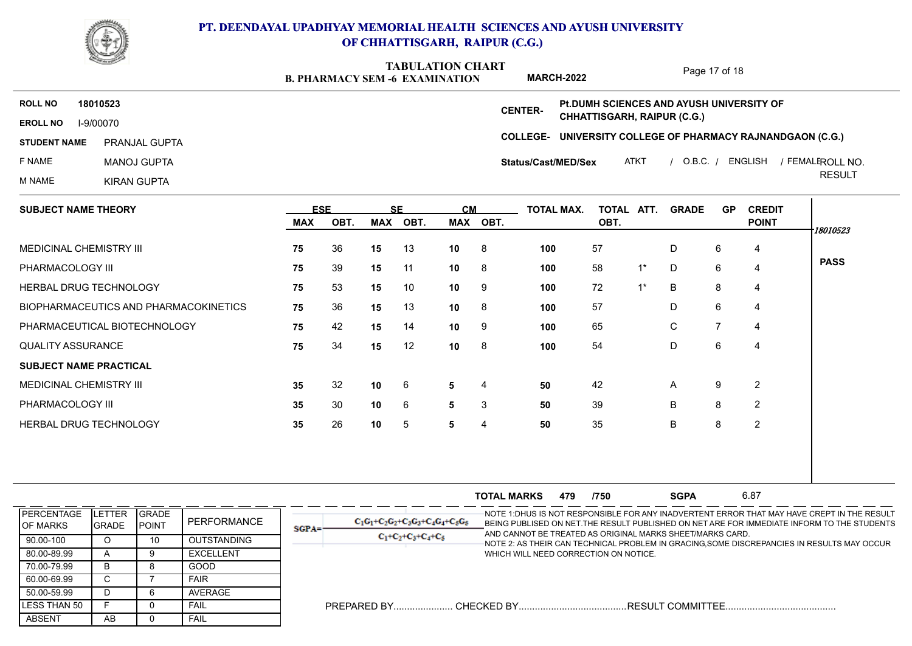

**B. PHARMACY SEM -6 EXAMINATION TABULATION CHART**

Page 17 of 18

**COLLEGE-UNIVERSITY COLLEGE OF PHARMACY RAJNANDGAON (C.G.) EROLL NO** I-9/00070 **ROLL NO 18010523 CENTER-STUDENT NAME** F NAME MANOJ GUPTA M NAME KIRAN GUPTA ATKT / O.B.C. / ENGLISH / FEMALEROLL NO. RESULT ROLL NO. PRANJAL GUPTA **Status/Cast/MED/Sex Pt.DUMH SCIENCES AND AYUSH UNIVERSITY OF CHHATTISGARH, RAIPUR (C.G.) MARCH-2022**

| <b>SUBJECT NAME THEORY</b>            |     | <b>ESE</b> |     | <b>SE</b> |                 | <b>CM</b> | TOTAL MAX. | TOTAL ATT. |       | <b>GRADE</b> | <b>GP</b>      | <b>CREDIT</b>  |             |  |  |
|---------------------------------------|-----|------------|-----|-----------|-----------------|-----------|------------|------------|-------|--------------|----------------|----------------|-------------|--|--|
|                                       | MAX | OBT.       | MAX | OBT.      | MAX             | OBT.      |            | OBT.       |       |              |                | <b>POINT</b>   | 18010523    |  |  |
| <b>MEDICINAL CHEMISTRY III</b>        | 75  | 36         | 15  | 13        | 10 <sup>1</sup> | - 8       | 100        | 57         |       | D            | 6              | 4              |             |  |  |
| PHARMACOLOGY III                      | 75  | 39         | 15  | 11        | 10 <sub>1</sub> | - 8       | 100        | 58         | $1^*$ | D            | 6              | 4              | <b>PASS</b> |  |  |
| HERBAL DRUG TECHNOLOGY                | 75  | 53         | 15  | 10        | 10              | - 9       | 100        | 72         | $1^*$ | B            | 8              | 4              |             |  |  |
| BIOPHARMACEUTICS AND PHARMACOKINETICS | 75  | 36         | 15  | 13        | 10              | - 8       | 100        | 57         |       | D            | 6              | 4              |             |  |  |
| PHARMACEUTICAL BIOTECHNOLOGY          | 75  | 42         | 15  | 14        | 10              | 9         | 100        | 65         |       | C            | $\overline{7}$ | 4              |             |  |  |
| <b>QUALITY ASSURANCE</b>              | 75  | 34         | 15  | 12        | 10 <sub>1</sub> | - 8       | 100        | 54         |       | D            | 6              | 4              |             |  |  |
| <b>SUBJECT NAME PRACTICAL</b>         |     |            |     |           |                 |           |            |            |       |              |                |                |             |  |  |
| MEDICINAL CHEMISTRY III               | 35  | 32         | 10  | 6         | 5               | 4         | 50         | 42         |       | A            | 9              | $\overline{2}$ |             |  |  |
| PHARMACOLOGY III                      | 35  | 30         | 10  | 6         | 5               | 3         | 50         | 39         |       | B            | 8              | 2              |             |  |  |
| HERBAL DRUG TECHNOLOGY                | 35  | 26         | 10  | 5         | 5               | 4         | 50         | 35         |       | B            | 8              | 2              |             |  |  |
|                                       |     |            |     |           |                 |           |            |            |       |              |                |                |             |  |  |
|                                       |     |            |     |           |                 |           |            |            |       |              |                |                |             |  |  |

|                               |                              |                                |                    |          |                                      | <b>TOTAL MARKS</b> | 479 | /750                                  | <b>SGPA</b>                                               | 6.87 |                                                                                                                                                                                           |
|-------------------------------|------------------------------|--------------------------------|--------------------|----------|--------------------------------------|--------------------|-----|---------------------------------------|-----------------------------------------------------------|------|-------------------------------------------------------------------------------------------------------------------------------------------------------------------------------------------|
| <b>PERCENTAGE</b><br>OF MARKS | TER.<br>-E L<br><b>GRADE</b> | <b>IGRADE</b><br><b>IPOINT</b> | PERFORMANCE        | $SGPA =$ | $C_1G_1+C_2G_2+C_3G_3+C_4G_4+C_5G_5$ |                    |     |                                       | AND CANNOT BE TREATED AS ORIGINAL MARKS SHEET/MARKS CARD. |      | -NOTE 1:DHUS IS NOT RESPONSIBLE FOR ANY INADVERTENT ERROR THAT MAY HAVE CREPT IN THE RESULT<br>BEING PUBLISED ON NET THE RESULT PUBLISHED ON NET ARE FOR IMMEDIATE INFORM TO THE STUDENTS |
| 90.00-100                     | ιJ                           | 10                             | <b>OUTSTANDING</b> |          | $C_1+C_2+C_3+C_4+C_5$                |                    |     |                                       |                                                           |      | NOTE 2: AS THEIR CAN TECHNICAL PROBLEM IN GRACING,SOME DISCREPANCIES IN RESULTS MAY OCCUR                                                                                                 |
| 80.00-89.99                   |                              |                                | <b>EXCELLENT</b>   |          |                                      |                    |     | WHICH WILL NEED CORRECTION ON NOTICE. |                                                           |      |                                                                                                                                                                                           |
| 70.00-79.99                   | רו                           |                                | GOOD               |          |                                      |                    |     |                                       |                                                           |      |                                                                                                                                                                                           |
| 60.00-69.99                   |                              |                                | <b>FAIR</b>        |          |                                      |                    |     |                                       |                                                           |      |                                                                                                                                                                                           |
| 50.00-59.99                   |                              |                                | AVERAGE            |          |                                      |                    |     |                                       |                                                           |      |                                                                                                                                                                                           |
| LESS THAN 50                  |                              |                                | FAIL               |          | PREPARED BY.                         | . CHECKED BY       |     |                                       | . RESULT COMMITTEE                                        |      |                                                                                                                                                                                           |
| ABSENT                        | AB                           |                                | FAIL               |          |                                      |                    |     |                                       |                                                           |      |                                                                                                                                                                                           |